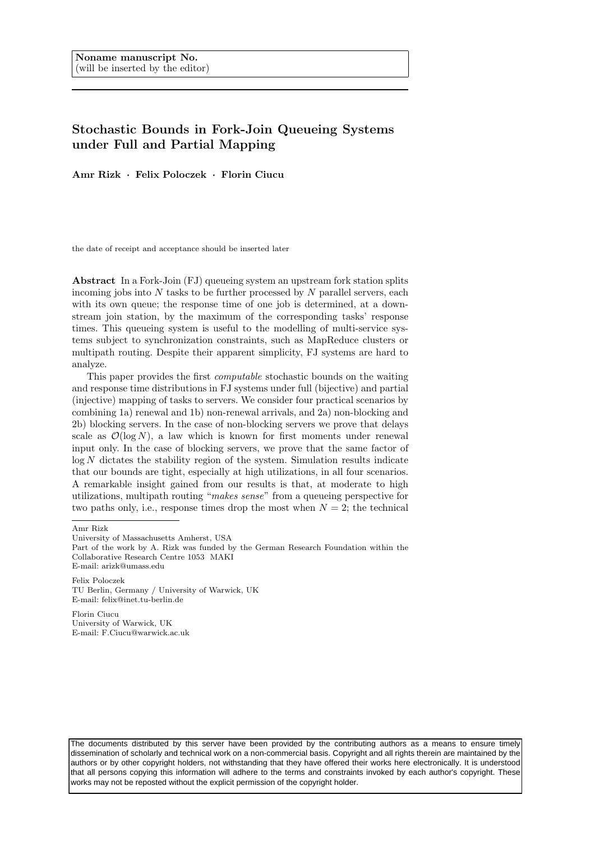# Stochastic Bounds in Fork-Join Queueing Systems under Full and Partial Mapping

Amr Rizk · Felix Poloczek · Florin Ciucu

the date of receipt and acceptance should be inserted later

Abstract In a Fork-Join (FJ) queueing system an upstream fork station splits incoming jobs into  $N$  tasks to be further processed by  $N$  parallel servers, each with its own queue; the response time of one job is determined, at a downstream join station, by the maximum of the corresponding tasks' response times. This queueing system is useful to the modelling of multi-service systems subject to synchronization constraints, such as MapReduce clusters or multipath routing. Despite their apparent simplicity, FJ systems are hard to analyze.

This paper provides the first computable stochastic bounds on the waiting and response time distributions in FJ systems under full (bijective) and partial (injective) mapping of tasks to servers. We consider four practical scenarios by combining 1a) renewal and 1b) non-renewal arrivals, and 2a) non-blocking and 2b) blocking servers. In the case of non-blocking servers we prove that delays scale as  $\mathcal{O}(\log N)$ , a law which is known for first moments under renewal input only. In the case of blocking servers, we prove that the same factor of  $log N$  dictates the stability region of the system. Simulation results indicate that our bounds are tight, especially at high utilizations, in all four scenarios. A remarkable insight gained from our results is that, at moderate to high utilizations, multipath routing "makes sense" from a queueing perspective for two paths only, i.e., response times drop the most when  $N = 2$ ; the technical

Amr Rizk

University of Massachusetts Amherst, USA

Felix Poloczek TU Berlin, Germany / University of Warwick, UK E-mail: felix@inet.tu-berlin.de

Florin Ciucu University of Warwick, UK E-mail: F.Ciucu@warwick.ac.uk

The documents distributed by this server have been provided by the contributing authors as a means to ensure timely dissemination of scholarly and technical work on a non-commercial basis. Copyright and all rights therein are maintained by the authors or by other copyright holders, not withstanding that they have offered their works here electronically. It is understood that all persons copying this information will adhere to the terms and constraints invoked by each author's copyright. These works may not be reposted without the explicit permission of the copyright holder.

Part of the work by A. Rizk was funded by the German Research Foundation within the Collaborative Research Centre 1053 MAKI E-mail: arizk@umass.edu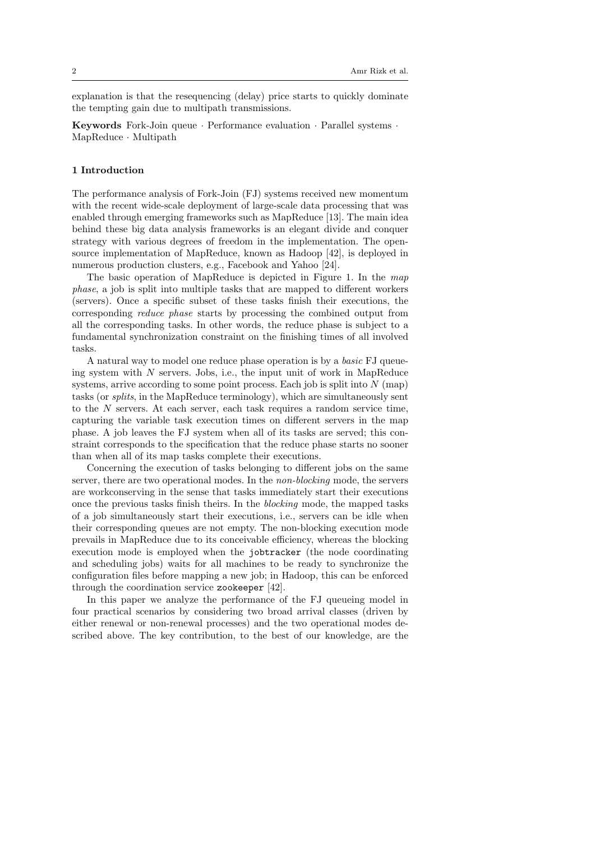explanation is that the resequencing (delay) price starts to quickly dominate the tempting gain due to multipath transmissions.

Keywords Fork-Join queue · Performance evaluation · Parallel systems · MapReduce · Multipath

# 1 Introduction

The performance analysis of Fork-Join (FJ) systems received new momentum with the recent wide-scale deployment of large-scale data processing that was enabled through emerging frameworks such as MapReduce [13]. The main idea behind these big data analysis frameworks is an elegant divide and conquer strategy with various degrees of freedom in the implementation. The opensource implementation of MapReduce, known as Hadoop [42], is deployed in numerous production clusters, e.g., Facebook and Yahoo [24].

The basic operation of MapReduce is depicted in Figure 1. In the map phase, a job is split into multiple tasks that are mapped to different workers (servers). Once a specific subset of these tasks finish their executions, the corresponding reduce phase starts by processing the combined output from all the corresponding tasks. In other words, the reduce phase is subject to a fundamental synchronization constraint on the finishing times of all involved tasks.

A natural way to model one reduce phase operation is by a basic FJ queueing system with  $N$  servers. Jobs, i.e., the input unit of work in MapReduce systems, arrive according to some point process. Each job is split into  $N$  (map) tasks (or splits, in the MapReduce terminology), which are simultaneously sent to the  $N$  servers. At each server, each task requires a random service time, capturing the variable task execution times on different servers in the map phase. A job leaves the FJ system when all of its tasks are served; this constraint corresponds to the specification that the reduce phase starts no sooner than when all of its map tasks complete their executions.

Concerning the execution of tasks belonging to different jobs on the same server, there are two operational modes. In the non-blocking mode, the servers are workconserving in the sense that tasks immediately start their executions once the previous tasks finish theirs. In the blocking mode, the mapped tasks of a job simultaneously start their executions, i.e., servers can be idle when their corresponding queues are not empty. The non-blocking execution mode prevails in MapReduce due to its conceivable efficiency, whereas the blocking execution mode is employed when the jobtracker (the node coordinating and scheduling jobs) waits for all machines to be ready to synchronize the configuration files before mapping a new job; in Hadoop, this can be enforced through the coordination service zookeeper [42].

In this paper we analyze the performance of the FJ queueing model in four practical scenarios by considering two broad arrival classes (driven by either renewal or non-renewal processes) and the two operational modes described above. The key contribution, to the best of our knowledge, are the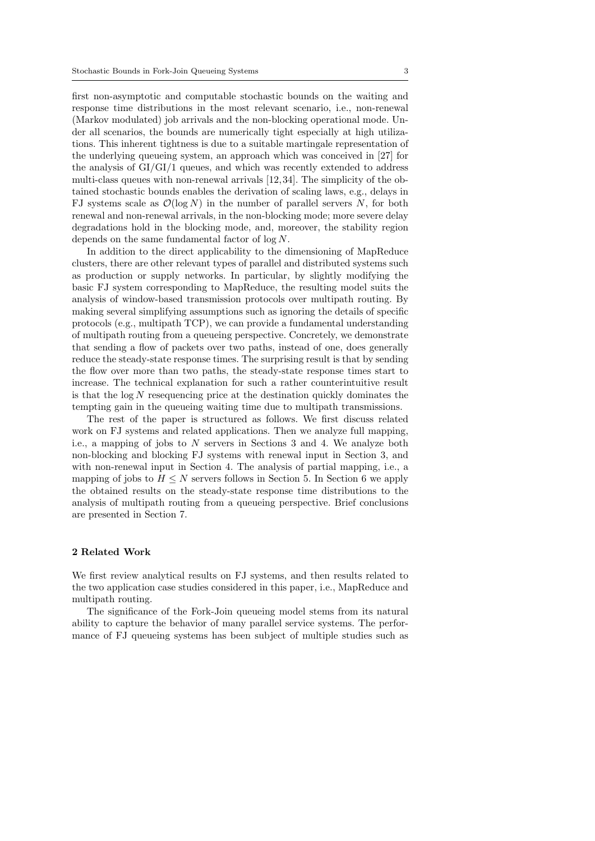first non-asymptotic and computable stochastic bounds on the waiting and response time distributions in the most relevant scenario, i.e., non-renewal (Markov modulated) job arrivals and the non-blocking operational mode. Under all scenarios, the bounds are numerically tight especially at high utilizations. This inherent tightness is due to a suitable martingale representation of the underlying queueing system, an approach which was conceived in [27] for the analysis of GI/GI/1 queues, and which was recently extended to address multi-class queues with non-renewal arrivals [12, 34]. The simplicity of the obtained stochastic bounds enables the derivation of scaling laws, e.g., delays in FJ systems scale as  $\mathcal{O}(\log N)$  in the number of parallel servers N, for both renewal and non-renewal arrivals, in the non-blocking mode; more severe delay degradations hold in the blocking mode, and, moreover, the stability region depends on the same fundamental factor of log N.

In addition to the direct applicability to the dimensioning of MapReduce clusters, there are other relevant types of parallel and distributed systems such as production or supply networks. In particular, by slightly modifying the basic FJ system corresponding to MapReduce, the resulting model suits the analysis of window-based transmission protocols over multipath routing. By making several simplifying assumptions such as ignoring the details of specific protocols (e.g., multipath TCP), we can provide a fundamental understanding of multipath routing from a queueing perspective. Concretely, we demonstrate that sending a flow of packets over two paths, instead of one, does generally reduce the steady-state response times. The surprising result is that by sending the flow over more than two paths, the steady-state response times start to increase. The technical explanation for such a rather counterintuitive result is that the  $log N$  resequencing price at the destination quickly dominates the tempting gain in the queueing waiting time due to multipath transmissions.

The rest of the paper is structured as follows. We first discuss related work on FJ systems and related applications. Then we analyze full mapping, i.e., a mapping of jobs to  $N$  servers in Sections 3 and 4. We analyze both non-blocking and blocking FJ systems with renewal input in Section 3, and with non-renewal input in Section 4. The analysis of partial mapping, i.e., a mapping of jobs to  $H \leq N$  servers follows in Section 5. In Section 6 we apply the obtained results on the steady-state response time distributions to the analysis of multipath routing from a queueing perspective. Brief conclusions are presented in Section 7.

### 2 Related Work

We first review analytical results on FJ systems, and then results related to the two application case studies considered in this paper, i.e., MapReduce and multipath routing.

The significance of the Fork-Join queueing model stems from its natural ability to capture the behavior of many parallel service systems. The performance of FJ queueing systems has been subject of multiple studies such as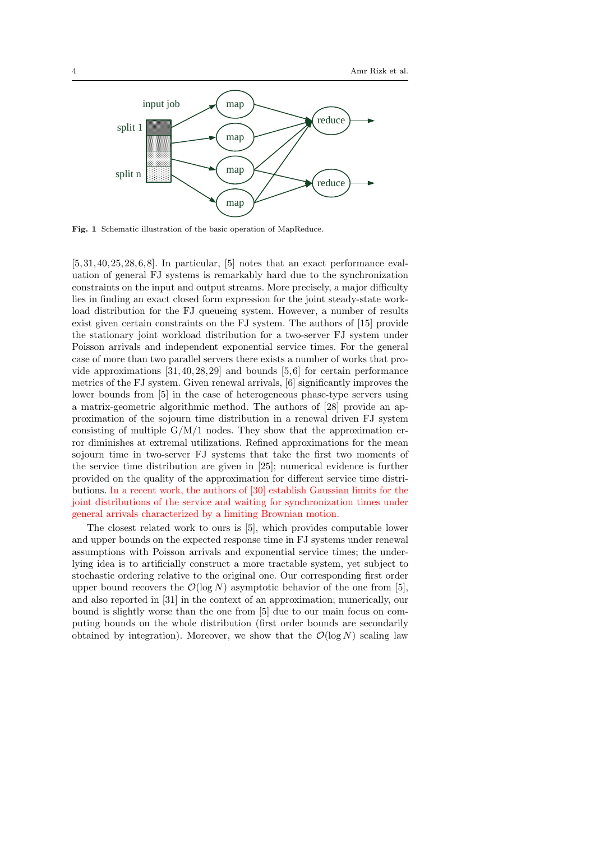

Fig. 1 Schematic illustration of the basic operation of MapReduce.

 $[5, 31, 40, 25, 28, 6, 8]$ . In particular,  $[5]$  notes that an exact performance evaluation of general FJ systems is remarkably hard due to the synchronization constraints on the input and output streams. More precisely, a major difficulty lies in finding an exact closed form expression for the joint steady-state workload distribution for the FJ queueing system. However, a number of results exist given certain constraints on the FJ system. The authors of [15] provide the stationary joint workload distribution for a two-server FJ system under Poisson arrivals and independent exponential service times. For the general case of more than two parallel servers there exists a number of works that provide approximations [31, 40, 28, 29] and bounds [5, 6] for certain performance metrics of the FJ system. Given renewal arrivals, [6] significantly improves the lower bounds from [5] in the case of heterogeneous phase-type servers using a matrix-geometric algorithmic method. The authors of [28] provide an approximation of the sojourn time distribution in a renewal driven FJ system consisting of multiple  $G/M/1$  nodes. They show that the approximation error diminishes at extremal utilizations. Refined approximations for the mean sojourn time in two-server FJ systems that take the first two moments of the service time distribution are given in [25]; numerical evidence is further provided on the quality of the approximation for different service time distributions. In a recent work, the authors of [30] establish Gaussian limits for the joint distributions of the service and waiting for synchronization times under general arrivals characterized by a limiting Brownian motion.

The closest related work to ours is [5], which provides computable lower and upper bounds on the expected response time in FJ systems under renewal assumptions with Poisson arrivals and exponential service times; the underlying idea is to artificially construct a more tractable system, yet subject to stochastic ordering relative to the original one. Our corresponding first order upper bound recovers the  $\mathcal{O}(\log N)$  asymptotic behavior of the one from [5], and also reported in [31] in the context of an approximation; numerically, our bound is slightly worse than the one from [5] due to our main focus on computing bounds on the whole distribution (first order bounds are secondarily obtained by integration). Moreover, we show that the  $\mathcal{O}(\log N)$  scaling law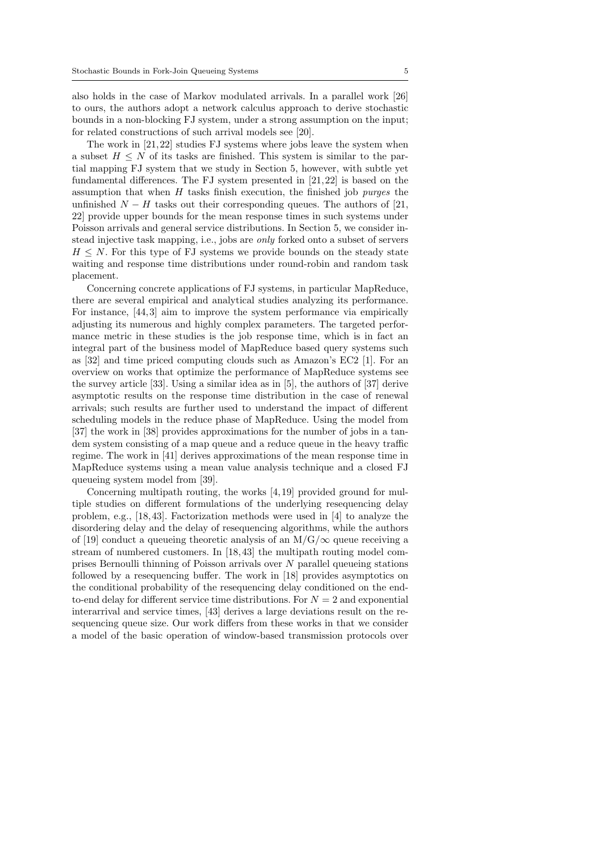also holds in the case of Markov modulated arrivals. In a parallel work [26] to ours, the authors adopt a network calculus approach to derive stochastic bounds in a non-blocking FJ system, under a strong assumption on the input; for related constructions of such arrival models see [20].

The work in [21, 22] studies FJ systems where jobs leave the system when a subset  $H \leq N$  of its tasks are finished. This system is similar to the partial mapping FJ system that we study in Section 5, however, with subtle yet fundamental differences. The FJ system presented in [21, 22] is based on the assumption that when  $H$  tasks finish execution, the finished job *purges* the unfinished  $N-H$  tasks out their corresponding queues. The authors of [21, 22] provide upper bounds for the mean response times in such systems under Poisson arrivals and general service distributions. In Section 5, we consider instead injective task mapping, i.e., jobs are only forked onto a subset of servers  $H \leq N$ . For this type of FJ systems we provide bounds on the steady state waiting and response time distributions under round-robin and random task placement.

Concerning concrete applications of FJ systems, in particular MapReduce, there are several empirical and analytical studies analyzing its performance. For instance, [44, 3] aim to improve the system performance via empirically adjusting its numerous and highly complex parameters. The targeted performance metric in these studies is the job response time, which is in fact an integral part of the business model of MapReduce based query systems such as [32] and time priced computing clouds such as Amazon's EC2 [1]. For an overview on works that optimize the performance of MapReduce systems see the survey article [33]. Using a similar idea as in [5], the authors of [37] derive asymptotic results on the response time distribution in the case of renewal arrivals; such results are further used to understand the impact of different scheduling models in the reduce phase of MapReduce. Using the model from [37] the work in [38] provides approximations for the number of jobs in a tandem system consisting of a map queue and a reduce queue in the heavy traffic regime. The work in [41] derives approximations of the mean response time in MapReduce systems using a mean value analysis technique and a closed FJ queueing system model from [39].

Concerning multipath routing, the works [4, 19] provided ground for multiple studies on different formulations of the underlying resequencing delay problem, e.g., [18, 43]. Factorization methods were used in [4] to analyze the disordering delay and the delay of resequencing algorithms, while the authors of [19] conduct a queueing theoretic analysis of an  $M/G/\infty$  queue receiving a stream of numbered customers. In [18, 43] the multipath routing model comprises Bernoulli thinning of Poisson arrivals over N parallel queueing stations followed by a resequencing buffer. The work in [18] provides asymptotics on the conditional probability of the resequencing delay conditioned on the endto-end delay for different service time distributions. For  $N = 2$  and exponential interarrival and service times, [43] derives a large deviations result on the resequencing queue size. Our work differs from these works in that we consider a model of the basic operation of window-based transmission protocols over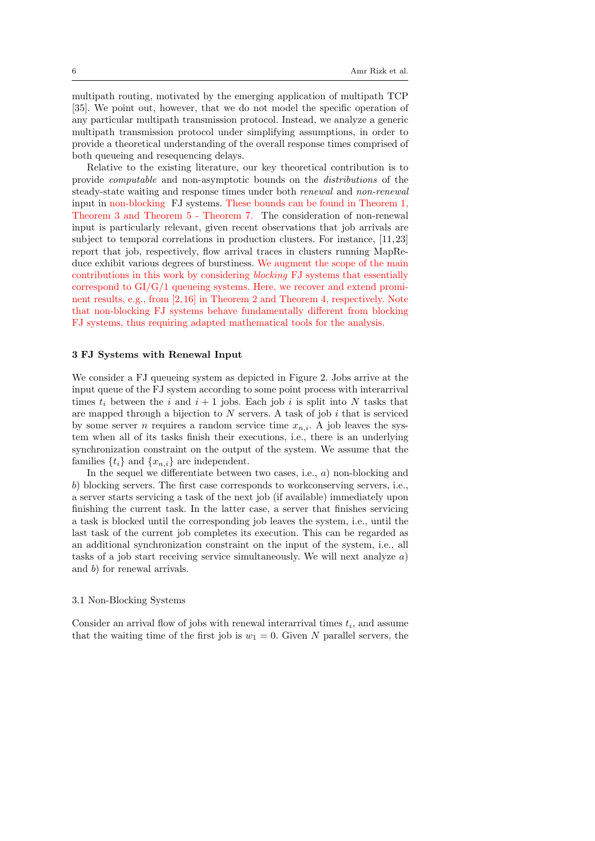multipath routing, motivated by the emerging application of multipath TCP [35]. We point out, however, that we do not model the specific operation of any particular multipath transmission protocol. Instead, we analyze a generic multipath transmission protocol under simplifying assumptions, in order to provide a theoretical understanding of the overall response times comprised of both queueing and resequencing delays.

Relative to the existing literature, our key theoretical contribution is to provide computable and non-asymptotic bounds on the distributions of the steady-state waiting and response times under both renewal and non-renewal input in non-blocking FJ systems. These bounds can be found in Theorem 1, Theorem 3 and Theorem 5 - Theorem 7. The consideration of non-renewal input is particularly relevant, given recent observations that job arrivals are subject to temporal correlations in production clusters. For instance, [11, 23] report that job, respectively, flow arrival traces in clusters running MapReduce exhibit various degrees of burstiness. We augment the scope of the main contributions in this work by considering blocking FJ systems that essentially correspond to GI/G/1 queueing systems. Here, we recover and extend prominent results, e.g., from [2, 16] in Theorem 2 and Theorem 4, respectively. Note that non-blocking FJ systems behave fundamentally different from blocking FJ systems, thus requiring adapted mathematical tools for the analysis.

# 3 FJ Systems with Renewal Input

We consider a FJ queueing system as depicted in Figure 2. Jobs arrive at the input queue of the FJ system according to some point process with interarrival times  $t_i$  between the i and  $i + 1$  jobs. Each job i is split into N tasks that are mapped through a bijection to  $N$  servers. A task of job  $i$  that is serviced by some server *n* requires a random service time  $x_{n,i}$ . A job leaves the system when all of its tasks finish their executions, i.e., there is an underlying synchronization constraint on the output of the system. We assume that the families  $\{t_i\}$  and  $\{x_{n,i}\}$  are independent.

In the sequel we differentiate between two cases, i.e.,  $a)$  non-blocking and b) blocking servers. The first case corresponds to workconserving servers, i.e., a server starts servicing a task of the next job (if available) immediately upon finishing the current task. In the latter case, a server that finishes servicing a task is blocked until the corresponding job leaves the system, i.e., until the last task of the current job completes its execution. This can be regarded as an additional synchronization constraint on the input of the system, i.e., all tasks of a job start receiving service simultaneously. We will next analyze a) and b) for renewal arrivals.

#### 3.1 Non-Blocking Systems

Consider an arrival flow of jobs with renewal interarrival times  $t_i$ , and assume that the waiting time of the first job is  $w_1 = 0$ . Given N parallel servers, the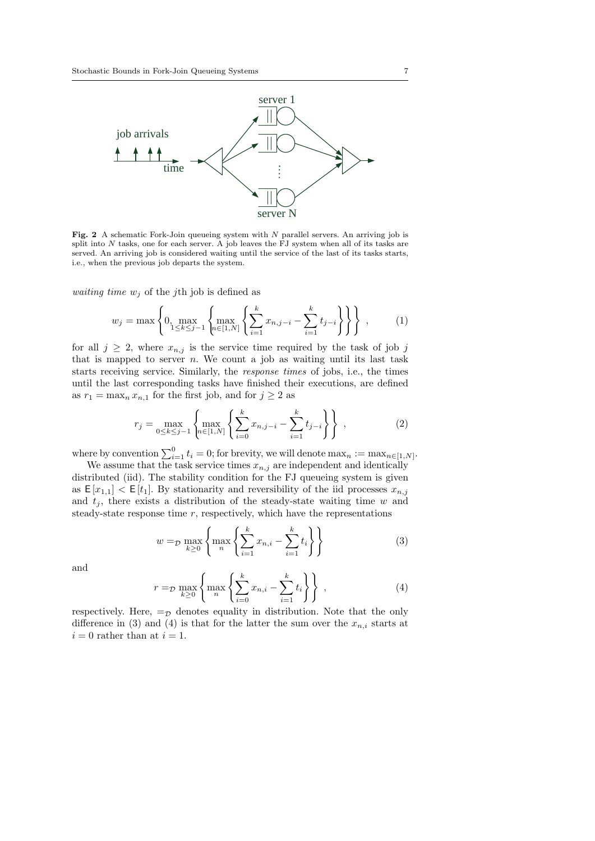

Fig. 2 A schematic Fork-Join queueing system with N parallel servers. An arriving job is split into  $N$  tasks, one for each server. A job leaves the FJ system when all of its tasks are served. An arriving job is considered waiting until the service of the last of its tasks starts, i.e., when the previous job departs the system.

waiting time  $w_i$  of the jth job is defined as

$$
w_j = \max\left\{0, \max_{1 \le k \le j-1} \left\{ \max_{n \in [1,N]} \left\{ \sum_{i=1}^k x_{n,j-i} - \sum_{i=1}^k t_{j-i} \right\} \right\} \right\},\qquad(1)
$$

for all  $j \geq 2$ , where  $x_{n,j}$  is the service time required by the task of job j that is mapped to server  $n$ . We count a job as waiting until its last task starts receiving service. Similarly, the response times of jobs, i.e., the times until the last corresponding tasks have finished their executions, are defined as  $r_1 = \max_n x_{n,1}$  for the first job, and for  $j \geq 2$  as

$$
r_j = \max_{0 \le k \le j-1} \left\{ \max_{n \in [1,N]} \left\{ \sum_{i=0}^k x_{n,j-i} - \sum_{i=1}^k t_{j-i} \right\} \right\},\tag{2}
$$

where by convention  $\sum_{i=1}^{0} t_i = 0$ ; for brevity, we will denote  $\max_n := \max_{n \in [1,N]}$ .

We assume that the task service times  $x_{n,j}$  are independent and identically distributed (iid). The stability condition for the FJ queueing system is given as  $E[x_{1,1}] < E[t_1]$ . By stationarity and reversibility of the iid processes  $x_{n,j}$ and  $t_j$ , there exists a distribution of the steady-state waiting time w and steady-state response time  $r$ , respectively, which have the representations

$$
w =_{\mathcal{D}} \max_{k \ge 0} \left\{ \max_{n} \left\{ \sum_{i=1}^{k} x_{n,i} - \sum_{i=1}^{k} t_i \right\} \right\}
$$
 (3)

and

$$
r =_{\mathcal{D}} \max_{k \ge 0} \left\{ \max_{n} \left\{ \sum_{i=0}^{k} x_{n,i} - \sum_{i=1}^{k} t_i \right\} \right\}, \tag{4}
$$

respectively. Here,  $=_{\mathcal{D}}$  denotes equality in distribution. Note that the only difference in (3) and (4) is that for the latter the sum over the  $x_{n,i}$  starts at  $i = 0$  rather than at  $i = 1$ .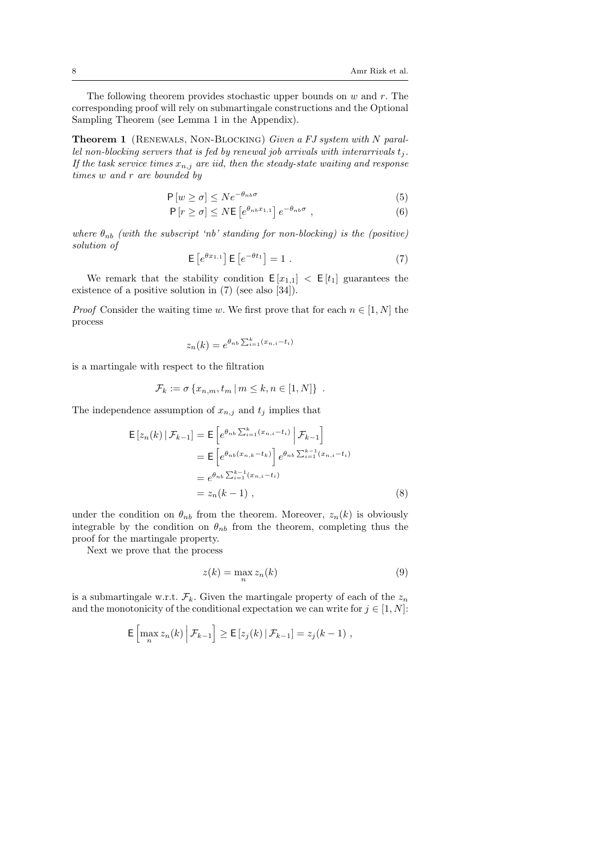The following theorem provides stochastic upper bounds on  $w$  and  $r$ . The corresponding proof will rely on submartingale constructions and the Optional Sampling Theorem (see Lemma 1 in the Appendix).

Theorem 1 (Renewals, Non-Blocking) Given a FJ system with N parallel non-blocking servers that is fed by renewal job arrivals with interarrivals  $t_i$ . If the task service times  $x_{n,j}$  are iid, then the steady-state waiting and response times w and r are bounded by

$$
\mathsf{P}\left[w \geq \sigma\right] \leq N e^{-\theta_{nb}\sigma} \tag{5}
$$

$$
\mathsf{P}\left[r\geq\sigma\right]\leq N\mathsf{E}\left[e^{\theta_{nb}x_{1,1}}\right]e^{-\theta_{nb}\sigma}\,,\tag{6}
$$

where  $\theta_{nb}$  (with the subscript 'nb' standing for non-blocking) is the (positive) solution of

$$
\mathsf{E}\left[e^{\theta x_{1,1}}\right]\mathsf{E}\left[e^{-\theta t_1}\right] = 1\tag{7}
$$

We remark that the stability condition  $E[x_{1,1}] < E[t_1]$  guarantees the existence of a positive solution in (7) (see also [34]).

*Proof* Consider the waiting time w. We first prove that for each  $n \in [1, N]$  the process

$$
z_n(k) = e^{\theta_{nb} \sum_{i=1}^k (x_{n,i} - t_i)}
$$

is a martingale with respect to the filtration

$$
\mathcal{F}_k := \sigma\left\{x_{n,m}, t_m \,|\, m \leq k, n \in [1, N]\right\}.
$$

The independence assumption of  $x_{n,j}$  and  $t_j$  implies that

$$
\mathsf{E}\left[z_{n}(k)\,|\,\mathcal{F}_{k-1}\right] = \mathsf{E}\left[e^{\theta_{nb}\sum_{i=1}^{k}(x_{n,i}-t_{i})}\,\bigg|\,\mathcal{F}_{k-1}\right]
$$
\n
$$
= \mathsf{E}\left[e^{\theta_{nb}(x_{n,k}-t_{k})}\right]e^{\theta_{nb}\sum_{i=1}^{k-1}(x_{n,i}-t_{i})}
$$
\n
$$
= e^{\theta_{nb}\sum_{i=1}^{k-1}(x_{n,i}-t_{i})}
$$
\n
$$
= z_{n}(k-1),
$$
\n(8)

under the condition on  $\theta_{nb}$  from the theorem. Moreover,  $z_n(k)$  is obviously integrable by the condition on  $\theta_{nb}$  from the theorem, completing thus the proof for the martingale property.

Next we prove that the process

$$
z(k) = \max_{n} z_n(k) \tag{9}
$$

is a submartingale w.r.t.  $\mathcal{F}_k$ . Given the martingale property of each of the  $z_n$ and the monotonicity of the conditional expectation we can write for  $j \in [1, N]$ :

$$
\mathsf{E}\left[\max_{n} z_{n}(k) \middle| \mathcal{F}_{k-1}\right] \ge \mathsf{E}\left[z_{j}(k) \middle| \mathcal{F}_{k-1}\right] = z_{j}(k-1) ,
$$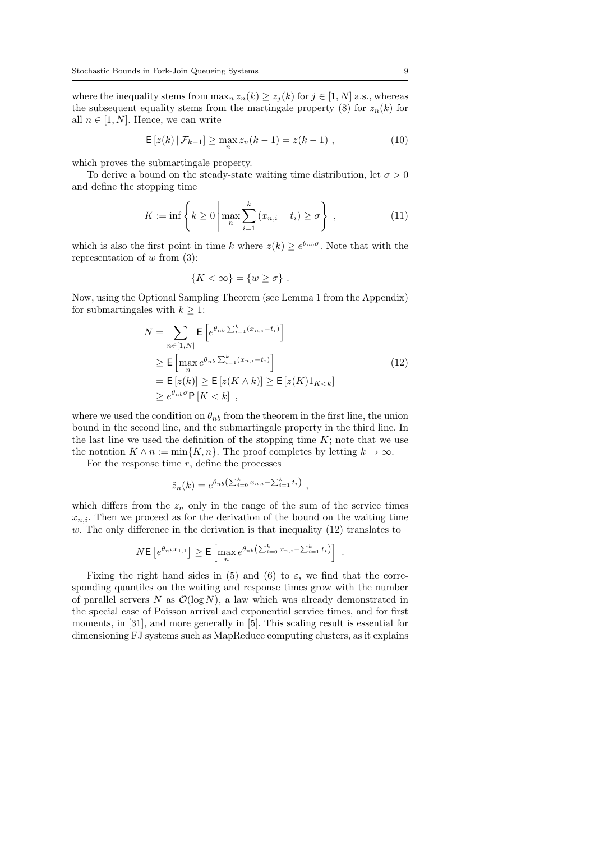where the inequality stems from  $\max_n z_n(k) \geq z_j(k)$  for  $j \in [1, N]$  a.s., whereas the subsequent equality stems from the martingale property (8) for  $z_n(k)$  for all  $n \in [1, N]$ . Hence, we can write

$$
\mathsf{E}\left[z(k)\,|\,\mathcal{F}_{k-1}\right] \ge \max_{n} z_n(k-1) = z(k-1) \;, \tag{10}
$$

which proves the submartingale property.

To derive a bound on the steady-state waiting time distribution, let  $\sigma > 0$ and define the stopping time

$$
K := \inf \left\{ k \ge 0 \, \middle| \, \max_{n} \sum_{i=1}^{k} \left( x_{n,i} - t_i \right) \ge \sigma \right\} ,\tag{11}
$$

which is also the first point in time k where  $z(k) \geq e^{\theta_{nb}\sigma}$ . Note that with the representation of  $w$  from  $(3)$ :

$$
\{K < \infty\} = \{w \ge \sigma\} \; .
$$

Now, using the Optional Sampling Theorem (see Lemma 1 from the Appendix) for submartingales with  $k \geq 1$ :

$$
N = \sum_{n \in [1,N]} \mathsf{E}\left[e^{\theta_{nb} \sum_{i=1}^{k} (x_{n,i} - t_i)}\right]
$$
  
\n
$$
\geq \mathsf{E}\left[\max_{n} e^{\theta_{nb} \sum_{i=1}^{k} (x_{n,i} - t_i)}\right]
$$
  
\n
$$
= \mathsf{E}\left[z(k)\right] \geq \mathsf{E}\left[z(K \wedge k)\right] \geq \mathsf{E}\left[z(K)\mathbb{1}_{K < k}\right]
$$
  
\n
$$
\geq e^{\theta_{nb} \sigma} \mathsf{P}\left[K < k\right],
$$
\n(12)

,

where we used the condition on  $\theta_{nb}$  from the theorem in the first line, the union bound in the second line, and the submartingale property in the third line. In the last line we used the definition of the stopping time  $K$ ; note that we use the notation  $K \wedge n := \min\{K, n\}$ . The proof completes by letting  $k \to \infty$ .

For the response time  $r$ , define the processes

$$
\tilde{z}_n(k) = e^{\theta_{nb} \left(\sum_{i=0}^k x_{n,i} - \sum_{i=1}^k t_i\right)}
$$

which differs from the  $z_n$  only in the range of the sum of the service times  $x_{n,i}$ . Then we proceed as for the derivation of the bound on the waiting time  $w$ . The only difference in the derivation is that inequality  $(12)$  translates to

$$
N\mathsf{E}\left[e^{\theta_{nb}x_{1,1}}\right] \ge \mathsf{E}\left[\max_{n}e^{\theta_{nb}\left(\sum_{i=0}^k x_{n,i}-\sum_{i=1}^k t_i\right)}\right].
$$

Fixing the right hand sides in (5) and (6) to  $\varepsilon$ , we find that the corresponding quantiles on the waiting and response times grow with the number of parallel servers N as  $\mathcal{O}(\log N)$ , a law which was already demonstrated in the special case of Poisson arrival and exponential service times, and for first moments, in [31], and more generally in [5]. This scaling result is essential for dimensioning FJ systems such as MapReduce computing clusters, as it explains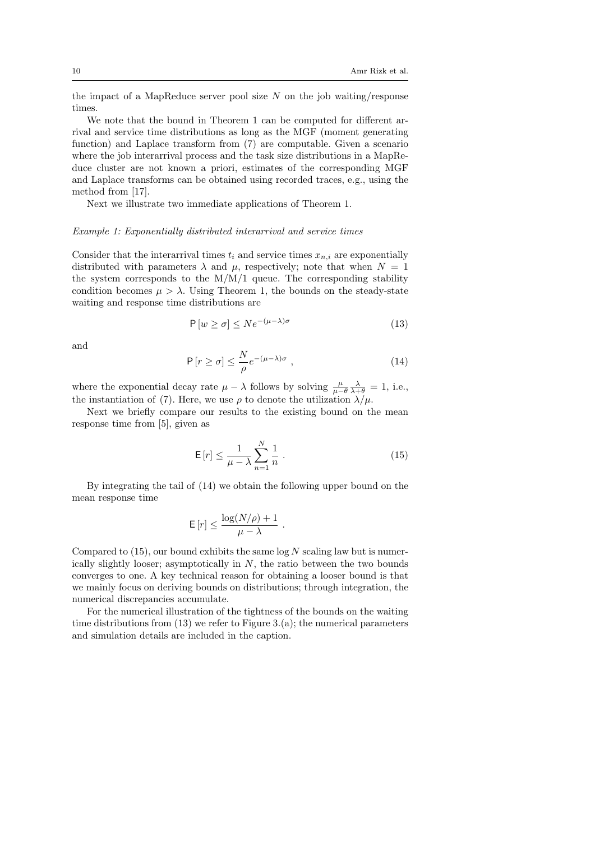the impact of a MapReduce server pool size  $N$  on the job waiting/response times.

We note that the bound in Theorem 1 can be computed for different arrival and service time distributions as long as the MGF (moment generating function) and Laplace transform from (7) are computable. Given a scenario where the job interarrival process and the task size distributions in a MapReduce cluster are not known a priori, estimates of the corresponding MGF and Laplace transforms can be obtained using recorded traces, e.g., using the method from [17].

Next we illustrate two immediate applications of Theorem 1.

#### Example 1: Exponentially distributed interarrival and service times

Consider that the interarrival times  $t_i$  and service times  $x_{n,i}$  are exponentially distributed with parameters  $\lambda$  and  $\mu$ , respectively; note that when  $N = 1$ the system corresponds to the  $M/M/1$  queue. The corresponding stability condition becomes  $\mu > \lambda$ . Using Theorem 1, the bounds on the steady-state waiting and response time distributions are

$$
\mathsf{P}\left[w \geq \sigma\right] \leq Ne^{-(\mu-\lambda)\sigma} \tag{13}
$$

and

$$
\mathsf{P}\left[r\geq\sigma\right] \leq \frac{N}{\rho}e^{-(\mu-\lambda)\sigma} \;, \tag{14}
$$

where the exponential decay rate  $\mu - \lambda$  follows by solving  $\frac{\mu}{\mu - \theta} \frac{\lambda}{\lambda + \theta} = 1$ , i.e., the instantiation of (7). Here, we use  $\rho$  to denote the utilization  $\lambda/\mu$ .

Next we briefly compare our results to the existing bound on the mean response time from [5], given as

$$
\mathsf{E}\left[r\right] \leq \frac{1}{\mu - \lambda} \sum_{n=1}^{N} \frac{1}{n} \,. \tag{15}
$$

By integrating the tail of (14) we obtain the following upper bound on the mean response time

$$
\mathsf{E}\left[r\right] \leq \frac{\log(N/\rho)+1}{\mu-\lambda} \ .
$$

Compared to  $(15)$ , our bound exhibits the same log N scaling law but is numerically slightly looser; asymptotically in  $N$ , the ratio between the two bounds converges to one. A key technical reason for obtaining a looser bound is that we mainly focus on deriving bounds on distributions; through integration, the numerical discrepancies accumulate.

For the numerical illustration of the tightness of the bounds on the waiting time distributions from  $(13)$  we refer to Figure 3.(a); the numerical parameters and simulation details are included in the caption.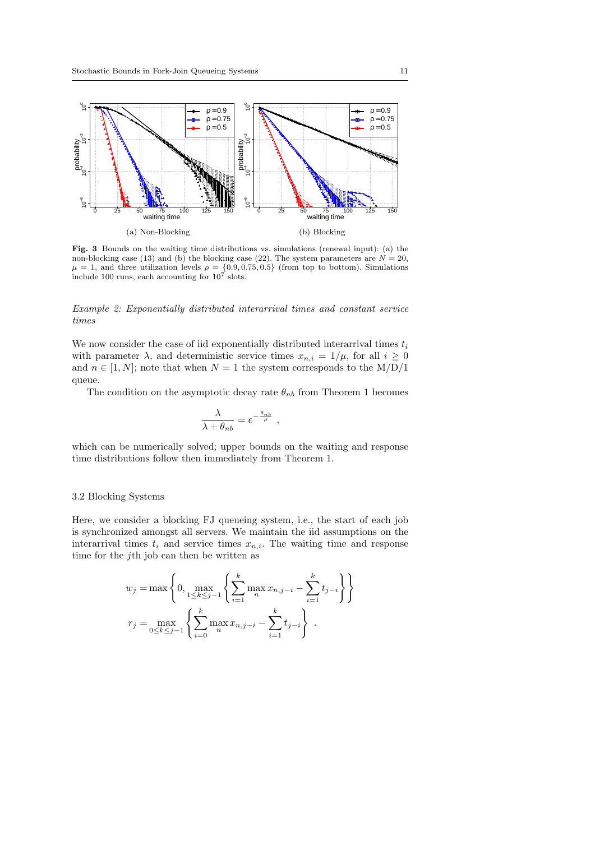

Fig. 3 Bounds on the waiting time distributions vs. simulations (renewal input): (a) the non-blocking case (13) and (b) the blocking case (22). The system parameters are  $N = 20$ ,  $\mu = 1$ , and three utilization levels  $\rho = \{0.9, 0.75, 0.5\}$  (from top to bottom). Simulations include 100 runs, each accounting for  $10^7$  slots.

# Example 2: Exponentially distributed interarrival times and constant service times

We now consider the case of iid exponentially distributed interarrival times  $t_i$ with parameter  $\lambda$ , and deterministic service times  $x_{n,i} = 1/\mu$ , for all  $i \geq 0$ and  $n \in [1, N]$ ; note that when  $N = 1$  the system corresponds to the  $M/D/1$ queue.

The condition on the asymptotic decay rate  $\theta_{nb}$  from Theorem 1 becomes

$$
\frac{\lambda}{\lambda+\theta_{nb}}=e^{-\frac{\theta_{nb}}{\mu}}\ ,
$$

which can be numerically solved; upper bounds on the waiting and response time distributions follow then immediately from Theorem 1.

# 3.2 Blocking Systems

Here, we consider a blocking FJ queueing system, i.e., the start of each job is synchronized amongst all servers. We maintain the iid assumptions on the interarrival times  $t_i$  and service times  $x_{n,i}$ . The waiting time and response time for the *j*th job can then be written as

$$
w_j = \max \left\{ 0, \max_{1 \le k \le j-1} \left\{ \sum_{i=1}^k \max_n x_{n,j-i} - \sum_{i=1}^k t_{j-i} \right\} \right\}
$$
  

$$
r_j = \max_{0 \le k \le j-1} \left\{ \sum_{i=0}^k \max_n x_{n,j-i} - \sum_{i=1}^k t_{j-i} \right\} .
$$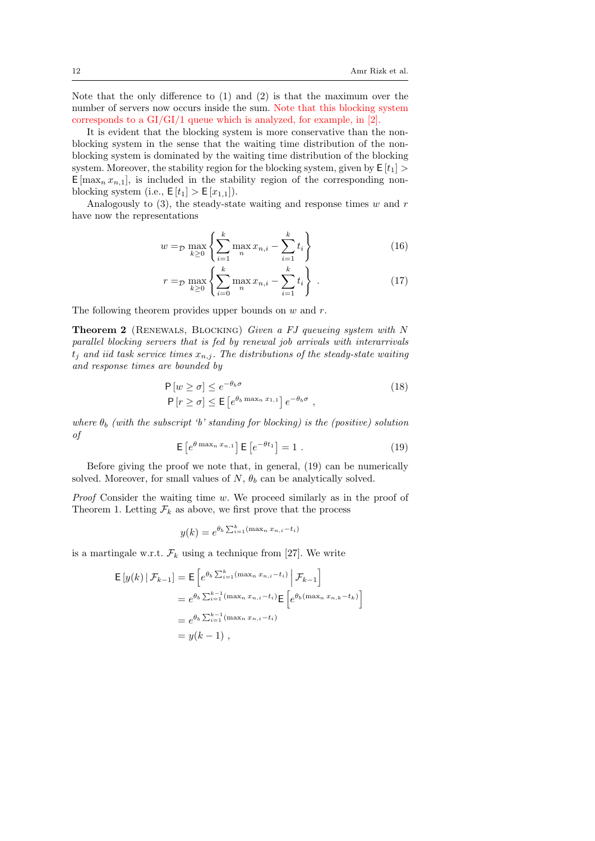Note that the only difference to (1) and (2) is that the maximum over the number of servers now occurs inside the sum. Note that this blocking system corresponds to a GI/GI/1 queue which is analyzed, for example, in [2].

It is evident that the blocking system is more conservative than the nonblocking system in the sense that the waiting time distribution of the nonblocking system is dominated by the waiting time distribution of the blocking system. Moreover, the stability region for the blocking system, given by  $E[t_1] >$  $E[\max_n x_{n,1}]$ , is included in the stability region of the corresponding nonblocking system (i.e.,  $E[t_1] > E[x_{1,1}].$ 

Analogously to  $(3)$ , the steady-state waiting and response times w and r have now the representations

$$
w =_{\mathcal{D}} \max_{k \ge 0} \left\{ \sum_{i=1}^{k} \max_{n} x_{n,i} - \sum_{i=1}^{k} t_i \right\}
$$
 (16)

$$
r =_{\mathcal{D}} \max_{k \ge 0} \left\{ \sum_{i=0}^{k} \max_{n} x_{n,i} - \sum_{i=1}^{k} t_i \right\} . \tag{17}
$$

The following theorem provides upper bounds on  $w$  and  $r$ .

Theorem 2 (Renewals, Blocking) Given a FJ queueing system with N parallel blocking servers that is fed by renewal job arrivals with interarrivals  $t_j$  and iid task service times  $x_{n,j}$ . The distributions of the steady-state waiting and response times are bounded by

$$
\mathsf{P}\left[w \geq \sigma\right] \leq e^{-\theta_b \sigma} \tag{18}
$$
\n
$$
\mathsf{P}\left[r \geq \sigma\right] \leq \mathsf{E}\left[e^{\theta_b \max_n x_{1,1}}\right] e^{-\theta_b \sigma} \,,
$$

where  $\theta_b$  (with the subscript 'b' standing for blocking) is the (positive) solution of

$$
\mathsf{E}\left[e^{\theta \max_n x_{n,1}}\right] \mathsf{E}\left[e^{-\theta t_1}\right] = 1 . \tag{19}
$$

Before giving the proof we note that, in general, (19) can be numerically solved. Moreover, for small values of  $N$ ,  $\theta_b$  can be analytically solved.

Proof Consider the waiting time w. We proceed similarly as in the proof of Theorem 1. Letting  $\mathcal{F}_k$  as above, we first prove that the process

$$
y(k) = e^{\theta_b \sum_{i=1}^k (\max_n x_{n,i} - t_i)}
$$

is a martingale w.r.t.  $\mathcal{F}_k$  using a technique from [27]. We write

$$
\mathsf{E}\left[y(k)\,|\,\mathcal{F}_{k-1}\right] = \mathsf{E}\left[e^{\theta_b \sum_{i=1}^k (\max_n x_{n,i} - t_i)}\,\middle|\,\mathcal{F}_{k-1}\right]
$$
\n
$$
= e^{\theta_b \sum_{i=1}^{k-1} (\max_n x_{n,i} - t_i)} \mathsf{E}\left[e^{\theta_b (\max_n x_{n,k} - t_k)}\right]
$$
\n
$$
= e^{\theta_b \sum_{i=1}^{k-1} (\max_n x_{n,i} - t_i)}
$$
\n
$$
= y(k-1),
$$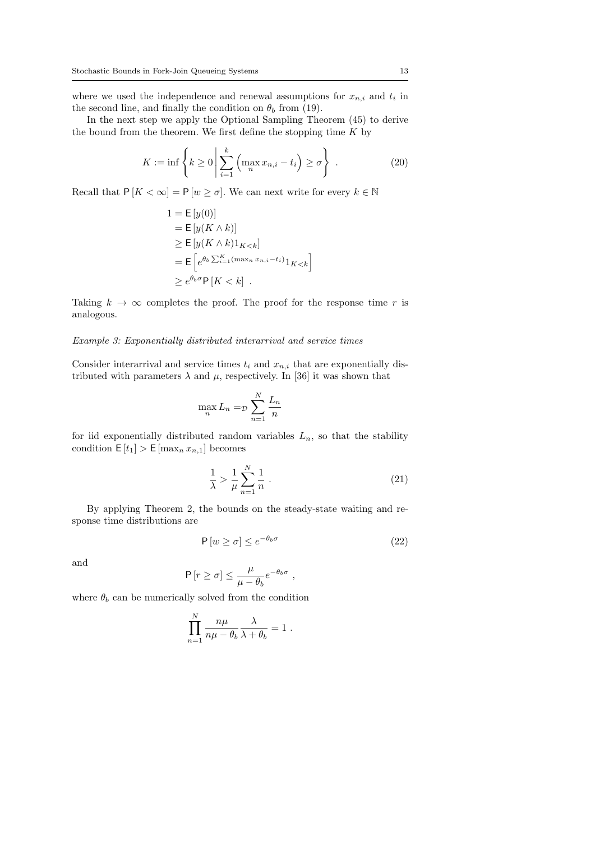where we used the independence and renewal assumptions for  $x_{n,i}$  and  $t_i$  in the second line, and finally the condition on  $\theta_b$  from (19).

In the next step we apply the Optional Sampling Theorem (45) to derive the bound from the theorem. We first define the stopping time  $K$  by

$$
K := \inf \left\{ k \ge 0 \, \middle| \, \sum_{i=1}^{k} \left( \max_{n} x_{n,i} - t_i \right) \ge \sigma \right\} \ . \tag{20}
$$

Recall that  $P[K < \infty] = P[w \ge \sigma]$ . We can next write for every  $k \in \mathbb{N}$ 

$$
1 = E[y(0)]
$$
  
\n
$$
= E[y(K \wedge k)]
$$
  
\n
$$
\geq E[y(K \wedge k)1_{K < k}]
$$
  
\n
$$
= E\left[e^{\theta_b \sum_{i=1}^K (\max_n x_{n,i} - t_i)} 1_{K < k}\right]
$$
  
\n
$$
\geq e^{\theta_b \sigma} P[K < k].
$$

Taking  $k \to \infty$  completes the proof. The proof for the response time r is analogous.

#### Example 3: Exponentially distributed interarrival and service times

Consider interarrival and service times  $t_i$  and  $x_{n,i}$  that are exponentially distributed with parameters  $\lambda$  and  $\mu$ , respectively. In [36] it was shown that

$$
\max_{n} L_n =_{\mathcal{D}} \sum_{n=1}^{N} \frac{L_n}{n}
$$

for iid exponentially distributed random variables  $L_n$ , so that the stability condition  $E[t_1] > E[\max_n x_{n,1}]$  becomes

$$
\frac{1}{\lambda} > \frac{1}{\mu} \sum_{n=1}^{N} \frac{1}{n} .
$$
 (21)

By applying Theorem 2, the bounds on the steady-state waiting and response time distributions are

$$
\mathsf{P}\left[w \geq \sigma\right] \leq e^{-\theta_b \sigma} \tag{22}
$$

and

$$
\mathsf{P}\left[r\geq\sigma\right]\leq\frac{\mu}{\mu-\theta_b}e^{-\theta_b\sigma}\;,
$$

where  $\theta_b$  can be numerically solved from the condition

$$
\prod_{n=1}^N \frac{n\mu}{n\mu - \theta_b} \frac{\lambda}{\lambda + \theta_b} = 1.
$$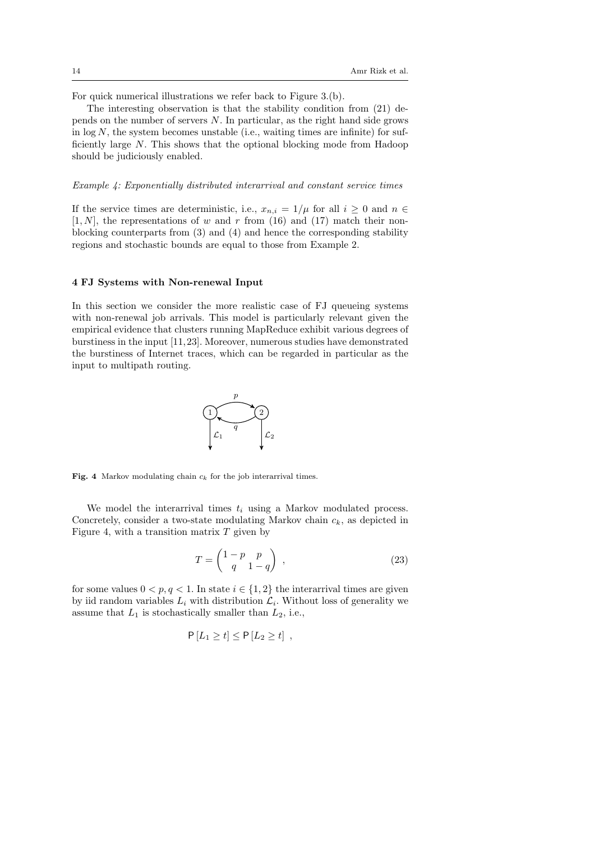For quick numerical illustrations we refer back to Figure 3.(b).

The interesting observation is that the stability condition from (21) depends on the number of servers  $N$ . In particular, as the right hand side grows in  $\log N$ , the system becomes unstable (i.e., waiting times are infinite) for sufficiently large N. This shows that the optional blocking mode from Hadoop should be judiciously enabled.

#### Example 4: Exponentially distributed interarrival and constant service times

If the service times are deterministic, i.e.,  $x_{n,i} = 1/\mu$  for all  $i \geq 0$  and  $n \in$  $[1, N]$ , the representations of w and r from (16) and (17) match their nonblocking counterparts from (3) and (4) and hence the corresponding stability regions and stochastic bounds are equal to those from Example 2.

## 4 FJ Systems with Non-renewal Input

In this section we consider the more realistic case of FJ queueing systems with non-renewal job arrivals. This model is particularly relevant given the empirical evidence that clusters running MapReduce exhibit various degrees of burstiness in the input [11, 23]. Moreover, numerous studies have demonstrated the burstiness of Internet traces, which can be regarded in particular as the input to multipath routing.



Fig. 4 Markov modulating chain  $c_k$  for the job interarrival times.

We model the interarrival times  $t_i$  using a Markov modulated process. Concretely, consider a two-state modulating Markov chain  $c_k$ , as depicted in Figure 4, with a transition matrix  $T$  given by

$$
T = \begin{pmatrix} 1-p & p \\ q & 1-q \end{pmatrix} , \qquad (23)
$$

for some values  $0 < p, q < 1$ . In state  $i \in \{1, 2\}$  the interarrival times are given by iid random variables  $L_i$  with distribution  $\mathcal{L}_i$ . Without loss of generality we assume that  $L_1$  is stochastically smaller than  $L_2$ , i.e.,

$$
\mathsf{P}\left[L_1 \geq t\right] \leq \mathsf{P}\left[L_2 \geq t\right] \;,
$$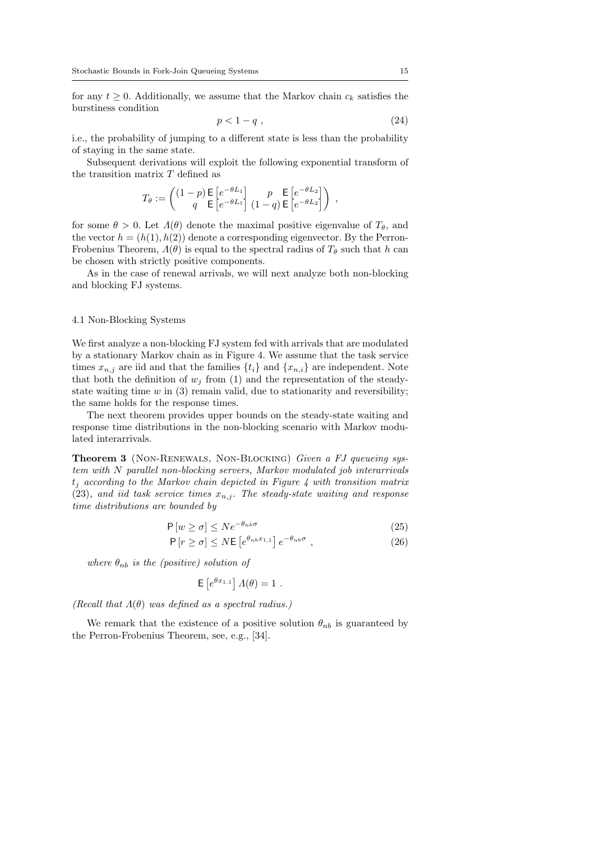for any  $t \geq 0$ . Additionally, we assume that the Markov chain  $c_k$  satisfies the burstiness condition

$$
p < 1 - q \tag{24}
$$

i.e., the probability of jumping to a different state is less than the probability of staying in the same state.

Subsequent derivations will exploit the following exponential transform of the transition matrix  $T$  defined as

$$
T_{\theta} := \begin{pmatrix} (1-p) \mathsf{E} \left[ e^{-\theta L_1} \right] & p \mathsf{E} \left[ e^{-\theta L_2} \right] \\ q \mathsf{E} \left[ e^{-\theta L_1} \right] & (1-q) \mathsf{E} \left[ e^{-\theta L_2} \right] \end{pmatrix} ,
$$

for some  $\theta > 0$ . Let  $\Lambda(\theta)$  denote the maximal positive eigenvalue of  $T_{\theta}$ , and the vector  $h = (h(1), h(2))$  denote a corresponding eigenvector. By the Perron-Frobenius Theorem,  $\Lambda(\theta)$  is equal to the spectral radius of  $T_{\theta}$  such that h can be chosen with strictly positive components.

As in the case of renewal arrivals, we will next analyze both non-blocking and blocking FJ systems.

### 4.1 Non-Blocking Systems

We first analyze a non-blocking FJ system fed with arrivals that are modulated by a stationary Markov chain as in Figure 4. We assume that the task service times  $x_{n,j}$  are iid and that the families  $\{t_i\}$  and  $\{x_{n,i}\}$  are independent. Note that both the definition of  $w_j$  from (1) and the representation of the steadystate waiting time  $w$  in (3) remain valid, due to stationarity and reversibility; the same holds for the response times.

The next theorem provides upper bounds on the steady-state waiting and response time distributions in the non-blocking scenario with Markov modulated interarrivals.

Theorem 3 (NON-RENEWALS, NON-BLOCKING) Given a FJ queueing system with N parallel non-blocking servers, Markov modulated job interarrivals  $t_j$  according to the Markov chain depicted in Figure 4 with transition matrix (23), and iid task service times  $x_{n,j}$ . The steady-state waiting and response time distributions are bounded by

$$
\mathsf{P}\left[w \geq \sigma\right] \leq N e^{-\theta_{nb}\sigma} \tag{25}
$$

$$
\mathsf{P}\left[r\geq\sigma\right]\leq N\mathsf{E}\left[e^{\theta_{nb}x_{1,1}}\right]e^{-\theta_{nb}\sigma}\,,\tag{26}
$$

where  $\theta_{nb}$  is the (positive) solution of

$$
\mathsf{E}\left[e^{\theta x_{1,1}}\right]A(\theta)=1.
$$

(Recall that  $\Lambda(\theta)$  was defined as a spectral radius.)

We remark that the existence of a positive solution  $\theta_{nb}$  is guaranteed by the Perron-Frobenius Theorem, see, e.g., [34].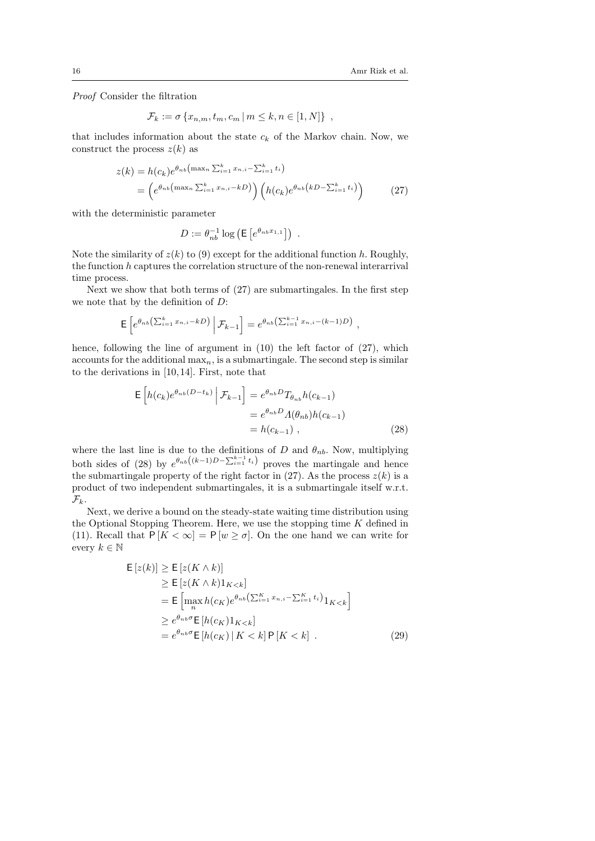Proof Consider the filtration

$$
\mathcal{F}_k := \sigma\left\{x_{n,m}, t_m, c_m \,|\, m \leq k, n \in [1, N]\right\} ,
$$

that includes information about the state  $c_k$  of the Markov chain. Now, we construct the process  $z(k)$  as

$$
z(k) = h(c_k) e^{\theta_{nb} \left( \max_n \sum_{i=1}^k x_{n,i} - \sum_{i=1}^k t_i \right)}
$$
  
= 
$$
\left( e^{\theta_{nb} \left( \max_n \sum_{i=1}^k x_{n,i} - kD \right)} \right) \left( h(c_k) e^{\theta_{nb} \left( kD - \sum_{i=1}^k t_i \right)} \right)
$$
 (27)

with the deterministic parameter

$$
D := \theta_{nb}^{-1} \log \left( \mathsf{E} \left[ e^{\theta_{nb} x_{1,1}} \right] \right) .
$$

Note the similarity of  $z(k)$  to (9) except for the additional function h. Roughly, the function h captures the correlation structure of the non-renewal interarrival time process.

Next we show that both terms of (27) are submartingales. In the first step we note that by the definition of D:

$$
\mathsf{E}\left[e^{\theta_{nb}\left(\sum_{i=1}^k x_{n,i}-kD\right)}\bigg|\mathcal{F}_{k-1}\right] = e^{\theta_{nb}\left(\sum_{i=1}^{k-1} x_{n,i}-(k-1)D\right)}\;,
$$

hence, following the line of argument in  $(10)$  the left factor of  $(27)$ , which accounts for the additional  $\max_n$ , is a submartingale. The second step is similar to the derivations in [10, 14]. First, note that

$$
\mathsf{E}\left[h(c_k)e^{\theta_{nb}(D-t_k)}\middle|\mathcal{F}_{k-1}\right] = e^{\theta_{nb}D}T_{\theta_{nb}h}(c_{k-1})
$$

$$
= e^{\theta_{nb}D}\Lambda(\theta_{nb})h(c_{k-1})
$$

$$
= h(c_{k-1}), \qquad (28)
$$

where the last line is due to the definitions of D and  $\theta_{nb}$ . Now, multiplying both sides of (28) by  $e^{\theta_{nb}((k-1)D-\sum_{i=1}^{k-1}t_i)}$  proves the martingale and hence the submartingale property of the right factor in (27). As the process  $z(k)$  is a product of two independent submartingales, it is a submartingale itself w.r.t.  $\mathcal{F}_k$ .

Next, we derive a bound on the steady-state waiting time distribution using the Optional Stopping Theorem. Here, we use the stopping time  $K$  defined in (11). Recall that  $P[K < \infty] = P[w \geq \sigma]$ . On the one hand we can write for every  $k \in \mathbb{N}$ 

$$
\begin{aligned} \mathsf{E}\left[z(k)\right] &\geq \mathsf{E}\left[z(K \wedge k)\right] \\ &\geq \mathsf{E}\left[z(K \wedge k)1_{K < k}\right] \\ &= \mathsf{E}\left[\max_{n} h(c_{K})e^{\theta_{nb}\left(\sum_{i=1}^{K} x_{n,i} - \sum_{i=1}^{K} t_{i}\right)}1_{K < k}\right] \\ &\geq e^{\theta_{nb}\sigma} \mathsf{E}\left[h(c_{K})1_{K < k}\right] \\ &= e^{\theta_{nb}\sigma} \mathsf{E}\left[h(c_{K}) \mid K < k\right] \mathsf{P}\left[K < k\right] \,. \end{aligned} \tag{29}
$$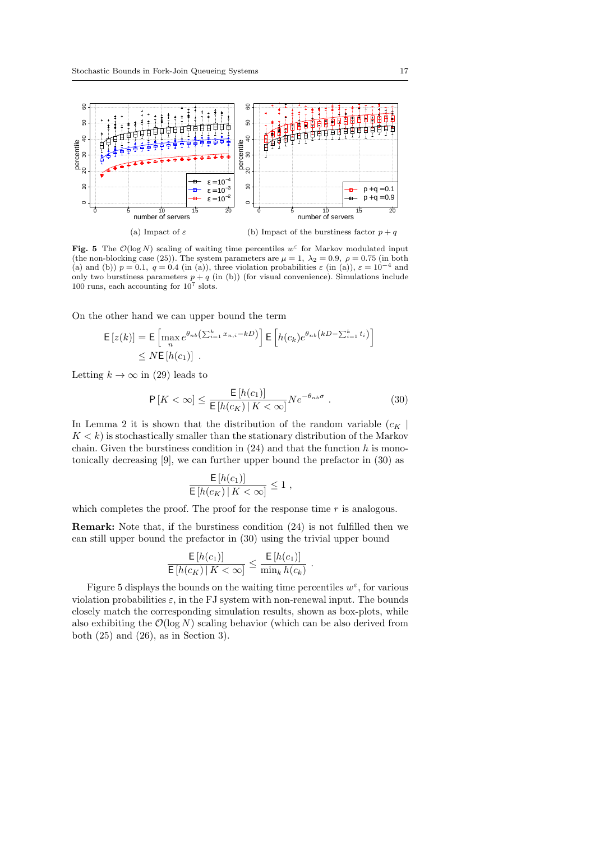

Fig. 5 The  $\mathcal{O}(\log N)$  scaling of waiting time percentiles  $w^{\varepsilon}$  for Markov modulated input (the non-blocking case (25)). The system parameters are  $\mu = 1$ ,  $\lambda_2 = 0.9$ ,  $\rho = 0.75$  (in both (a) and (b))  $p = 0.1, q = 0.4$  (in (a)), three violation probabilities  $\varepsilon$  (in (a)),  $\varepsilon = 10^{-4}$  and only two burstiness parameters  $p + q$  (in (b)) (for visual convenience). Simulations include 100 runs, each accounting for  $10^7$  slots.

On the other hand we can upper bound the term

$$
\mathsf{E}\left[z(k)\right] = \mathsf{E}\left[\max_{n} e^{\theta_{nb}\left(\sum_{i=1}^{k} x_{n,i} - kD\right)}\right] \mathsf{E}\left[h(c_k)e^{\theta_{nb}\left(kD - \sum_{i=1}^{k} t_i\right)}\right] \le N \mathsf{E}\left[h(c_1)\right] .
$$

Letting  $k \to \infty$  in (29) leads to

$$
\mathsf{P}\left[K < \infty\right] \le \frac{\mathsf{E}\left[h(c_1)\right]}{\mathsf{E}\left[h(c_K)\,|\,K < \infty\right]} N e^{-\theta_{nb}\sigma} \tag{30}
$$

In Lemma 2 it is shown that the distribution of the random variable  $(c_K |$  $K < k$ ) is stochastically smaller than the stationary distribution of the Markov chain. Given the burstiness condition in  $(24)$  and that the function h is monotonically decreasing [9], we can further upper bound the prefactor in (30) as

$$
\frac{\mathsf{E}\left[h(c_1)\right]}{\mathsf{E}\left[h(c_K)\,|\,K<\infty\right]}\leq 1\;,
$$

which completes the proof. The proof for the response time  $r$  is analogous.

Remark: Note that, if the burstiness condition (24) is not fulfilled then we can still upper bound the prefactor in (30) using the trivial upper bound

$$
\frac{\mathsf{E}\left[h(c_1)\right]}{\mathsf{E}\left[h(c_K)\,|\,K<\infty\right]}\leq \frac{\mathsf{E}\left[h(c_1)\right]}{\min_k h(c_k)}\;.
$$

Figure 5 displays the bounds on the waiting time percentiles  $w^{\varepsilon}$ , for various violation probabilities  $\varepsilon$ , in the FJ system with non-renewal input. The bounds closely match the corresponding simulation results, shown as box-plots, while also exhibiting the  $\mathcal{O}(\log N)$  scaling behavior (which can be also derived from both  $(25)$  and  $(26)$ , as in Section 3).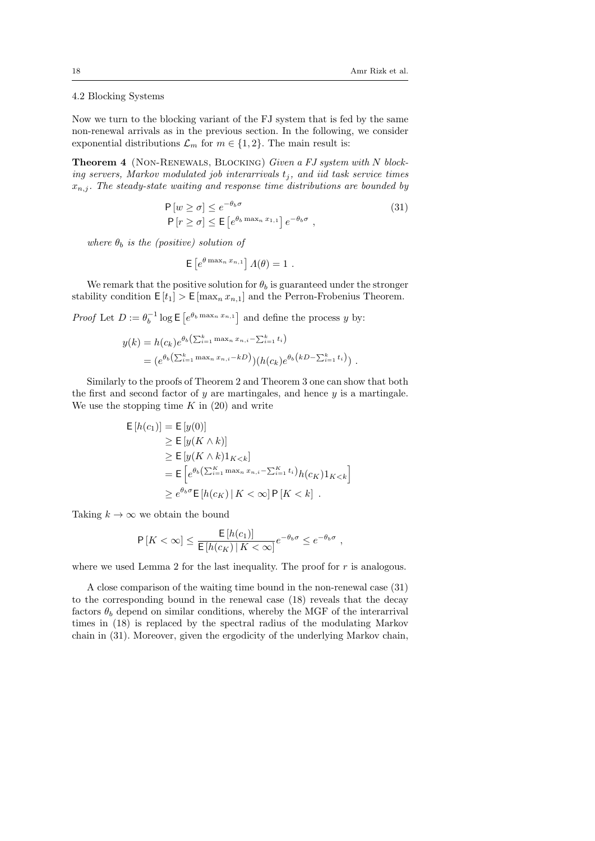# 4.2 Blocking Systems

Now we turn to the blocking variant of the FJ system that is fed by the same non-renewal arrivals as in the previous section. In the following, we consider exponential distributions  $\mathcal{L}_m$  for  $m \in \{1, 2\}$ . The main result is:

Theorem 4 (NON-RENEWALS, BLOCKING) Given a FJ system with N blocking servers, Markov modulated job interarrivals  $t_j$ , and iid task service times  $x_{n,j}$ . The steady-state waiting and response time distributions are bounded by

$$
\mathsf{P}\left[w \geq \sigma\right] \leq e^{-\theta_b \sigma} \tag{31}
$$
\n
$$
\mathsf{P}\left[r \geq \sigma\right] \leq \mathsf{E}\left[e^{\theta_b \max_n x_{1,1}}\right] e^{-\theta_b \sigma} \,,
$$

where  $\theta_b$  is the (positive) solution of

$$
\mathsf{E}\left[e^{\theta \max_n x_{n,1}}\right]A(\theta) = 1.
$$

We remark that the positive solution for  $\theta_b$  is guaranteed under the stronger stability condition  $E[t_1] > E[\max_n x_{n,1}]$  and the Perron-Frobenius Theorem.

*Proof* Let  $D := \theta_b^{-1} \log \mathsf{E} \left[ e^{\theta_b \max_n x_{n,1}} \right]$  and define the process y by:

$$
y(k) = h(c_k)e^{\theta_b(\sum_{i=1}^k \max_n x_{n,i} - \sum_{i=1}^k t_i)} \\
= (e^{\theta_b(\sum_{i=1}^k \max_n x_{n,i} - kD)})(h(c_k)e^{\theta_b(kD - \sum_{i=1}^k t_i)})\ .
$$

Similarly to the proofs of Theorem 2 and Theorem 3 one can show that both the first and second factor of  $y$  are martingales, and hence  $y$  is a martingale. We use the stopping time  $K$  in  $(20)$  and write

$$
\begin{aligned} \mathsf{E}\left[h(c_1)\right] &= \mathsf{E}\left[y(0)\right] \\ &\ge \mathsf{E}\left[y(K \wedge k)\right] \\ &\ge \mathsf{E}\left[y(K \wedge k)\mathbf{1}_{K < k}\right] \\ &= \mathsf{E}\left[e^{\theta_b\left(\sum_{i=1}^K \max_n x_{n,i} - \sum_{i=1}^K t_i\right)}h(c_K)\mathbf{1}_{K < k}\right] \\ &\ge e^{\theta_b \sigma} \mathsf{E}\left[h(c_K)\,|\,K < \infty\right] \mathsf{P}\left[K < k\right] \,. \end{aligned}
$$

Taking  $k \to \infty$  we obtain the bound

$$
\mathsf{P}\left[K < \infty\right] \le \frac{\mathsf{E}\left[h(c_1)\right]}{\mathsf{E}\left[h(c_K)\,|\,K < \infty\right]}e^{-\theta_b\sigma} \le e^{-\theta_b\sigma} \;,
$$

where we used Lemma 2 for the last inequality. The proof for  $r$  is analogous.

A close comparison of the waiting time bound in the non-renewal case (31) to the corresponding bound in the renewal case (18) reveals that the decay factors  $\theta_b$  depend on similar conditions, whereby the MGF of the interarrival times in (18) is replaced by the spectral radius of the modulating Markov chain in (31). Moreover, given the ergodicity of the underlying Markov chain,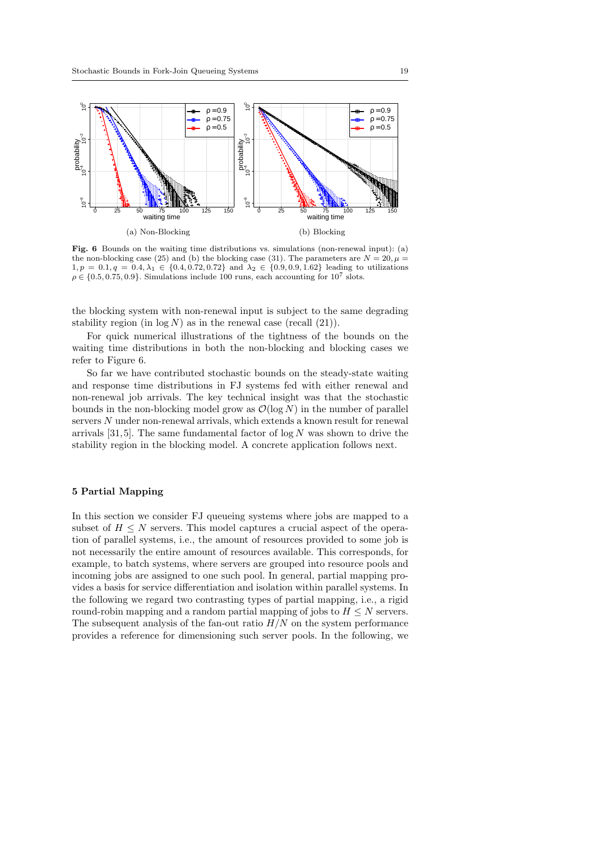

Fig. 6 Bounds on the waiting time distributions vs. simulations (non-renewal input): (a) the non-blocking case (25) and (b) the blocking case (31). The parameters are  $N = 20, \mu =$  $1, p = 0.1, q = 0.4, \lambda_1 \in \{0.4, 0.72, 0.72\}$  and  $\lambda_2 \in \{0.9, 0.9, 1.62\}$  leading to utilizations  $\rho \in \{0.5, 0.75, 0.9\}$ . Simulations include 100 runs, each accounting for 10<sup>7</sup> slots.

the blocking system with non-renewal input is subject to the same degrading stability region (in  $\log N$ ) as in the renewal case (recall (21)).

For quick numerical illustrations of the tightness of the bounds on the waiting time distributions in both the non-blocking and blocking cases we refer to Figure 6.

So far we have contributed stochastic bounds on the steady-state waiting and response time distributions in FJ systems fed with either renewal and non-renewal job arrivals. The key technical insight was that the stochastic bounds in the non-blocking model grow as  $\mathcal{O}(\log N)$  in the number of parallel servers  $N$  under non-renewal arrivals, which extends a known result for renewal arrivals [31, 5]. The same fundamental factor of  $\log N$  was shown to drive the stability region in the blocking model. A concrete application follows next.

### 5 Partial Mapping

In this section we consider FJ queueing systems where jobs are mapped to a subset of  $H \leq N$  servers. This model captures a crucial aspect of the operation of parallel systems, i.e., the amount of resources provided to some job is not necessarily the entire amount of resources available. This corresponds, for example, to batch systems, where servers are grouped into resource pools and incoming jobs are assigned to one such pool. In general, partial mapping provides a basis for service differentiation and isolation within parallel systems. In the following we regard two contrasting types of partial mapping, i.e., a rigid round-robin mapping and a random partial mapping of jobs to  $H \leq N$  servers. The subsequent analysis of the fan-out ratio  $H/N$  on the system performance provides a reference for dimensioning such server pools. In the following, we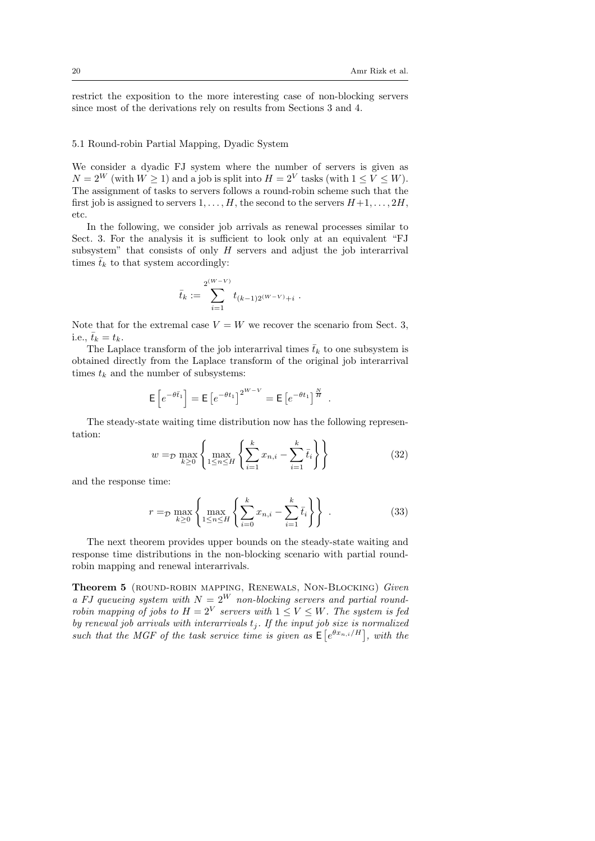restrict the exposition to the more interesting case of non-blocking servers since most of the derivations rely on results from Sections 3 and 4.

### 5.1 Round-robin Partial Mapping, Dyadic System

We consider a dyadic FJ system where the number of servers is given as  $N = 2^W$  (with  $W \ge 1$ ) and a job is split into  $H = 2^V$  tasks (with  $1 \le V \le W$ ). The assignment of tasks to servers follows a round-robin scheme such that the first job is assigned to servers  $1, \ldots, H$ , the second to the servers  $H+1, \ldots, 2H$ , etc.

In the following, we consider job arrivals as renewal processes similar to Sect. 3. For the analysis it is sufficient to look only at an equivalent "FJ subsystem" that consists of only  $H$  servers and adjust the job interarrival times  $\bar{t}_k$  to that system accordingly:

$$
\bar{t}_k := \sum_{i=1}^{2^{(W-V)}} t_{(k-1)2^{(W-V)}+i}.
$$

Note that for the extremal case  $V = W$  we recover the scenario from Sect. 3, i.e.,  $\overline{t}_k = t_k$ .

The Laplace transform of the job interarrival times  $\bar{t}_k$  to one subsystem is obtained directly from the Laplace transform of the original job interarrival times  $t_k$  and the number of subsystems:

$$
\mathsf{E}\left[e^{-\theta \bar{t}_1}\right] = \mathsf{E}\left[e^{-\theta t_1}\right]^{2^{W-V}} = \mathsf{E}\left[e^{-\theta t_1}\right]^{\frac{N}{H}}.
$$

The steady-state waiting time distribution now has the following representation:

$$
w =_{\mathcal{D}} \max_{k \ge 0} \left\{ \max_{1 \le n \le H} \left\{ \sum_{i=1}^{k} x_{n,i} - \sum_{i=1}^{k} \bar{t}_i \right\} \right\}
$$
(32)

and the response time:

$$
r =_{\mathcal{D}} \max_{k \ge 0} \left\{ \max_{1 \le n \le H} \left\{ \sum_{i=0}^{k} x_{n,i} - \sum_{i=1}^{k} \bar{t}_i \right\} \right\} .
$$
 (33)

The next theorem provides upper bounds on the steady-state waiting and response time distributions in the non-blocking scenario with partial roundrobin mapping and renewal interarrivals.

Theorem 5 (ROUND-ROBIN MAPPING, RENEWALS, NON-BLOCKING) Given a FJ queueing system with  $N = 2^W$  non-blocking servers and partial roundrobin mapping of jobs to  $H = 2^V$  servers with  $1 \leq V \leq W$ . The system is fea by renewal job arrivals with interarrivals  $t_i$ . If the input job size is normalized such that the MGF of the task service time is given as  $\mathsf{E}\left[e^{\theta x_{n,i}/H}\right]$ , with the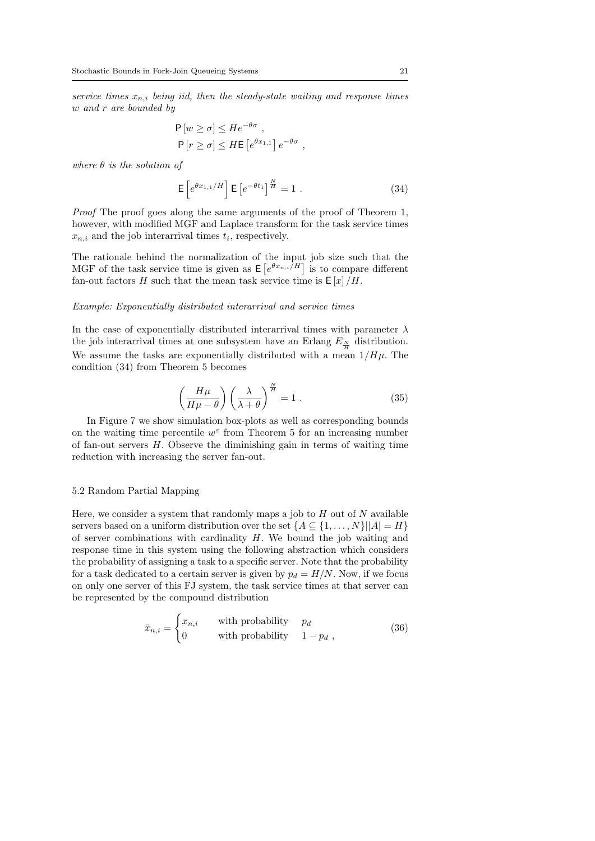service times  $x_{n,i}$  being iid, then the steady-state waiting and response times w and r are bounded by

$$
P[w \ge \sigma] \le He^{-\theta\sigma} ,
$$
  
 
$$
P[r \ge \sigma] \le HE\left[e^{\theta x_{1,1}}\right]e^{-\theta\sigma} ,
$$

where  $\theta$  is the solution of

$$
\mathsf{E}\left[e^{\theta x_{1,1}/H}\right]\mathsf{E}\left[e^{-\theta t_1}\right]^{\frac{N}{H}} = 1.
$$
\n(34)

Proof The proof goes along the same arguments of the proof of Theorem 1, however, with modified MGF and Laplace transform for the task service times  $x_{n,i}$  and the job interarrival times  $t_i$ , respectively.

The rationale behind the normalization of the input job size such that the MGF of the task service time is given as  $\mathsf{E}\left[e^{\theta x_{n,i}/H}\right]$  is to compare different fan-out factors H such that the mean task service time is  $E[x]/H$ .

#### Example: Exponentially distributed interarrival and service times

In the case of exponentially distributed interarrival times with parameter  $\lambda$ the job interarrival times at one subsystem have an Erlang  $E_{\frac{N}{H}}$  distribution. We assume the tasks are exponentially distributed with a mean  $1/H\mu$ . The condition (34) from Theorem 5 becomes

$$
\left(\frac{H\mu}{H\mu-\theta}\right)\left(\frac{\lambda}{\lambda+\theta}\right)^{\frac{N}{H}} = 1.
$$
\n(35)

In Figure 7 we show simulation box-plots as well as corresponding bounds on the waiting time percentile  $w^{\varepsilon}$  from Theorem 5 for an increasing number of fan-out servers  $H$ . Observe the diminishing gain in terms of waiting time reduction with increasing the server fan-out.

### 5.2 Random Partial Mapping

Here, we consider a system that randomly maps a job to  $H$  out of  $N$  available servers based on a uniform distribution over the set  $\{A \subseteq \{1, \ldots, N\} | |A| = H\}$ of server combinations with cardinality  $H$ . We bound the job waiting and response time in this system using the following abstraction which considers the probability of assigning a task to a specific server. Note that the probability for a task dedicated to a certain server is given by  $p_d = H/N$ . Now, if we focus on only one server of this FJ system, the task service times at that server can be represented by the compound distribution

$$
\bar{x}_{n,i} = \begin{cases} x_{n,i} & \text{with probability} \quad p_d \\ 0 & \text{with probability} \quad 1 - p_d \end{cases} \tag{36}
$$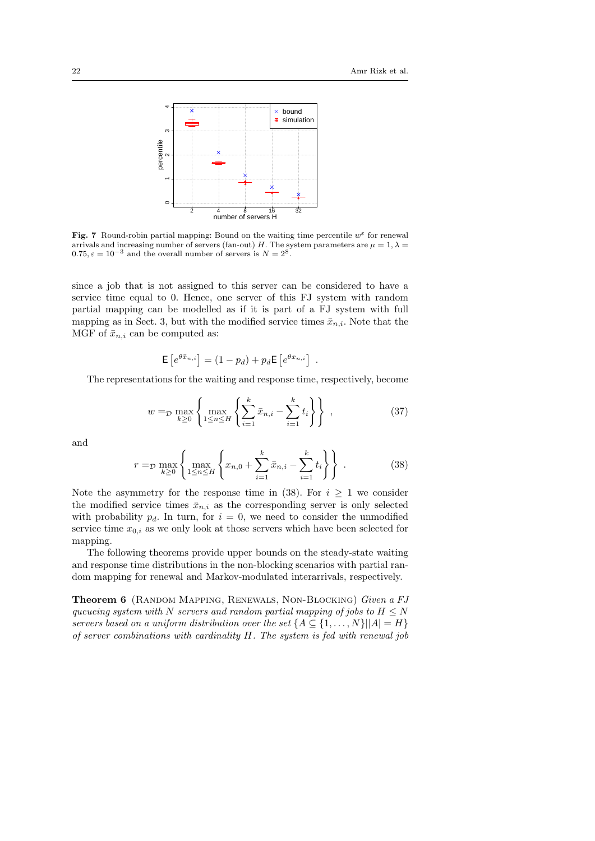

Fig. 7 Round-robin partial mapping: Bound on the waiting time percentile  $w^{\varepsilon}$  for renewal arrivals and increasing number of servers (fan-out) H. The system parameters are  $\mu = 1, \lambda =$  $0.75, \varepsilon = 10^{-3}$  and the overall number of servers is  $N = 2^8$ .

since a job that is not assigned to this server can be considered to have a service time equal to 0. Hence, one server of this FJ system with random partial mapping can be modelled as if it is part of a FJ system with full mapping as in Sect. 3, but with the modified service times  $\bar{x}_{n,i}$ . Note that the MGF of  $\bar{x}_{n,i}$  can be computed as:

$$
\mathsf{E}\left[e^{\theta \bar{x}_{n,i}}\right] = (1-p_d) + p_d \mathsf{E}\left[e^{\theta x_{n,i}}\right] .
$$

The representations for the waiting and response time, respectively, become

$$
w =_{\mathcal{D}} \max_{k \ge 0} \left\{ \max_{1 \le n \le H} \left\{ \sum_{i=1}^{k} \bar{x}_{n,i} - \sum_{i=1}^{k} t_i \right\} \right\},
$$
 (37)

and

$$
r =_{\mathcal{D}} \max_{k \ge 0} \left\{ \max_{1 \le n \le H} \left\{ x_{n,0} + \sum_{i=1}^{k} \bar{x}_{n,i} - \sum_{i=1}^{k} t_i \right\} \right\}.
$$
 (38)

Note the asymmetry for the response time in (38). For  $i > 1$  we consider the modified service times  $\bar{x}_{n,i}$  as the corresponding server is only selected with probability  $p_d$ . In turn, for  $i = 0$ , we need to consider the unmodified service time  $x_{0,i}$  as we only look at those servers which have been selected for mapping.

The following theorems provide upper bounds on the steady-state waiting and response time distributions in the non-blocking scenarios with partial random mapping for renewal and Markov-modulated interarrivals, respectively.

Theorem 6 (Random Mapping, Renewals, Non-Blocking) Given a FJ queueing system with N servers and random partial mapping of jobs to  $H \leq N$ servers based on a uniform distribution over the set  $\{A \subseteq \{1, \ldots, N\} | |A| = H\}$ of server combinations with cardinality H. The system is fed with renewal job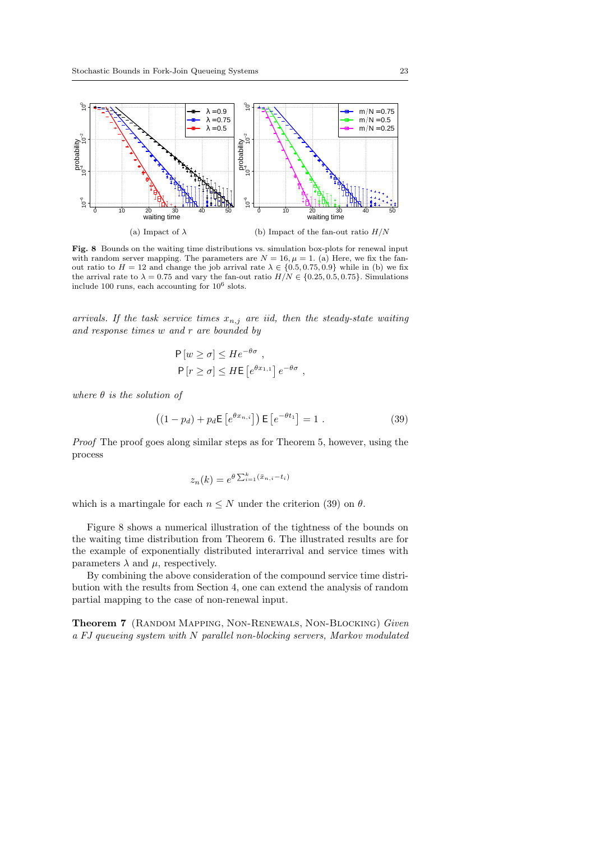

Fig. 8 Bounds on the waiting time distributions vs. simulation box-plots for renewal input with random server mapping. The parameters are  $N = 16, \mu = 1.$  (a) Here, we fix the fanout ratio to  $H = 12$  and change the job arrival rate  $\lambda \in \{0.5, 0.75, 0.9\}$  while in (b) we fix the arrival rate to  $\lambda = 0.75$  and vary the fan-out ratio  $H/N \in \{0.25, 0.5, 0.75\}$ . Simulations include 100 runs, each accounting for  $10^6$  slots.

arrivals. If the task service times  $x_{n,j}$  are iid, then the steady-state waiting and response times w and r are bounded by

$$
P[w \ge \sigma] \le He^{-\theta\sigma},
$$
  
 
$$
P[r \ge \sigma] \le HE\left[e^{\theta x_{1,1}}\right]e^{-\theta\sigma},
$$

where  $\theta$  is the solution of

$$
((1 - p_d) + p_d \mathsf{E}\left[e^{\theta x_{n,i}}\right]) \mathsf{E}\left[e^{-\theta t_1}\right] = 1.
$$
 (39)

Proof The proof goes along similar steps as for Theorem 5, however, using the process

$$
z_n(k) = e^{\theta \sum_{i=1}^k (\bar{x}_{n,i} - t_i)}
$$

which is a martingale for each  $n \leq N$  under the criterion (39) on  $\theta$ .

Figure 8 shows a numerical illustration of the tightness of the bounds on the waiting time distribution from Theorem 6. The illustrated results are for the example of exponentially distributed interarrival and service times with parameters  $\lambda$  and  $\mu$ , respectively.

By combining the above consideration of the compound service time distribution with the results from Section 4, one can extend the analysis of random partial mapping to the case of non-renewal input.

Theorem 7 (Random Mapping, Non-Renewals, Non-Blocking) Given a FJ queueing system with N parallel non-blocking servers, Markov modulated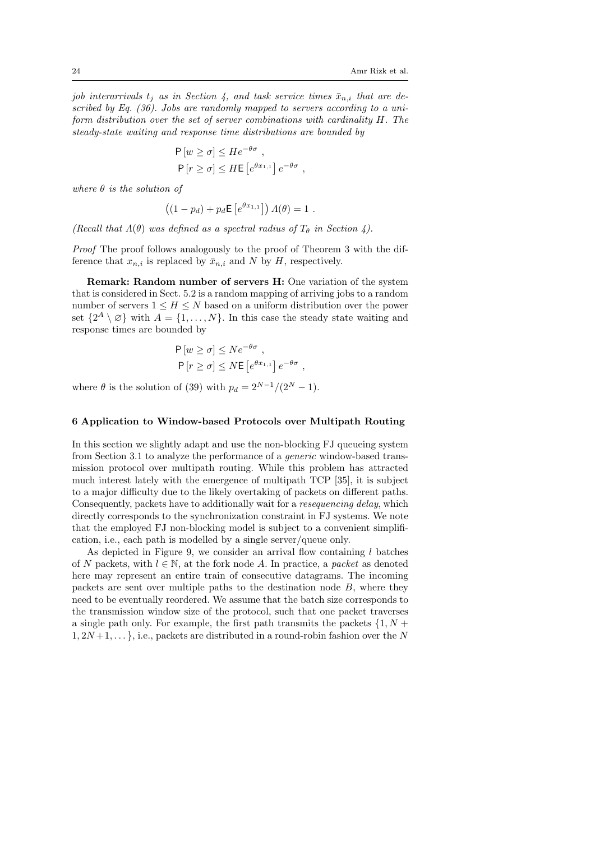job interarrivals  $t_j$  as in Section 4, and task service times  $\bar{x}_{n,i}$  that are described by Eq. (36). Jobs are randomly mapped to servers according to a uniform distribution over the set of server combinations with cardinality H. The steady-state waiting and response time distributions are bounded by

$$
\mathsf{P}\left[w \geq \sigma\right] \leq He^{-\theta\sigma} ,
$$
  

$$
\mathsf{P}\left[r \geq \sigma\right] \leq H\mathsf{E}\left[e^{\theta x_{1,1}}\right]e^{-\theta\sigma} ,
$$

where  $\theta$  is the solution of

$$
((1-p_d)+p_d\mathsf{E}\left[e^{\theta x_{1,1}}\right])\Lambda(\theta)=1.
$$

(Recall that  $\Lambda(\theta)$  was defined as a spectral radius of  $T_{\theta}$  in Section 4).

Proof The proof follows analogously to the proof of Theorem 3 with the difference that  $x_{n,i}$  is replaced by  $\bar{x}_{n,i}$  and N by H, respectively.

Remark: Random number of servers H: One variation of the system that is considered in Sect. 5.2 is a random mapping of arriving jobs to a random number of servers  $1 \leq H \leq N$  based on a uniform distribution over the power set  $\{2^A \setminus \emptyset\}$  with  $A = \{1, ..., N\}$ . In this case the steady state waiting and response times are bounded by

$$
P[w \ge \sigma] \le Ne^{-\theta\sigma},
$$
  
 
$$
P[r \ge \sigma] \le NE\left[e^{\theta x_{1,1}}\right]e^{-\theta\sigma},
$$

where  $\theta$  is the solution of (39) with  $p_d = 2^{N-1}/(2^N - 1)$ .

### 6 Application to Window-based Protocols over Multipath Routing

In this section we slightly adapt and use the non-blocking FJ queueing system from Section 3.1 to analyze the performance of a generic window-based transmission protocol over multipath routing. While this problem has attracted much interest lately with the emergence of multipath TCP [35], it is subject to a major difficulty due to the likely overtaking of packets on different paths. Consequently, packets have to additionally wait for a resequencing delay, which directly corresponds to the synchronization constraint in FJ systems. We note that the employed FJ non-blocking model is subject to a convenient simplification, i.e., each path is modelled by a single server/queue only.

As depicted in Figure 9, we consider an arrival flow containing  $l$  batches of N packets, with  $l \in \mathbb{N}$ , at the fork node A. In practice, a packet as denoted here may represent an entire train of consecutive datagrams. The incoming packets are sent over multiple paths to the destination node  $B$ , where they need to be eventually reordered. We assume that the batch size corresponds to the transmission window size of the protocol, such that one packet traverses a single path only. For example, the first path transmits the packets  $\{1, N + \}$  $1, 2N+1, \ldots$ , i.e., packets are distributed in a round-robin fashion over the N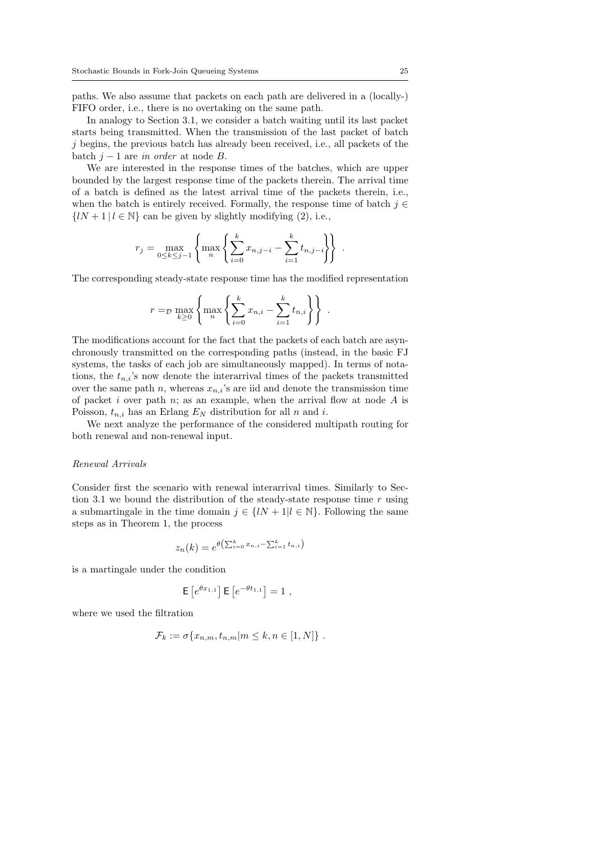paths. We also assume that packets on each path are delivered in a (locally-) FIFO order, i.e., there is no overtaking on the same path.

In analogy to Section 3.1, we consider a batch waiting until its last packet starts being transmitted. When the transmission of the last packet of batch j begins, the previous batch has already been received, i.e., all packets of the batch  $j - 1$  are in order at node B.

We are interested in the response times of the batches, which are upper bounded by the largest response time of the packets therein. The arrival time of a batch is defined as the latest arrival time of the packets therein, i.e., when the batch is entirely received. Formally, the response time of batch  $j \in$  $\{lN+1 \mid l \in \mathbb{N}\}\)$  can be given by slightly modifying (2), i.e.,

$$
r_j = \max_{0 \le k \le j-1} \left\{ \max_n \left\{ \sum_{i=0}^k x_{n,j-i} - \sum_{i=1}^k t_{n,j-i} \right\} \right\}.
$$

The corresponding steady-state response time has the modified representation

$$
r =_{\mathcal{D}} \max_{k \ge 0} \left\{ \max_{n} \left\{ \sum_{i=0}^{k} x_{n,i} - \sum_{i=1}^{k} t_{n,i} \right\} \right\}.
$$

The modifications account for the fact that the packets of each batch are asynchronously transmitted on the corresponding paths (instead, in the basic FJ systems, the tasks of each job are simultaneously mapped). In terms of notations, the  $t_{n,i}$ 's now denote the interarrival times of the packets transmitted over the same path n, whereas  $x_{n,i}$ 's are iid and denote the transmission time of packet i over path  $n$ ; as an example, when the arrival flow at node  $A$  is Poisson,  $t_{n,i}$  has an Erlang  $E_N$  distribution for all n and i.

We next analyze the performance of the considered multipath routing for both renewal and non-renewal input.

# Renewal Arrivals

Consider first the scenario with renewal interarrival times. Similarly to Section 3.1 we bound the distribution of the steady-state response time  $r$  using a submartingale in the time domain  $j \in \{lN+1|l \in \mathbb{N}\}\.$  Following the same steps as in Theorem 1, the process

$$
z_n(k) = e^{\theta \left(\sum_{i=0}^k x_{n,i} - \sum_{i=1}^k t_{n,i}\right)}
$$

is a martingale under the condition

$$
\mathsf{E}\left[e^{\theta x_{1,1}}\right] \mathsf{E}\left[e^{-\theta t_{1,1}}\right] = 1 \ ,
$$

where we used the filtration

$$
\mathcal{F}_k := \sigma\{x_{n,m}, t_{n,m} | m \leq k, n \in [1, N]\}.
$$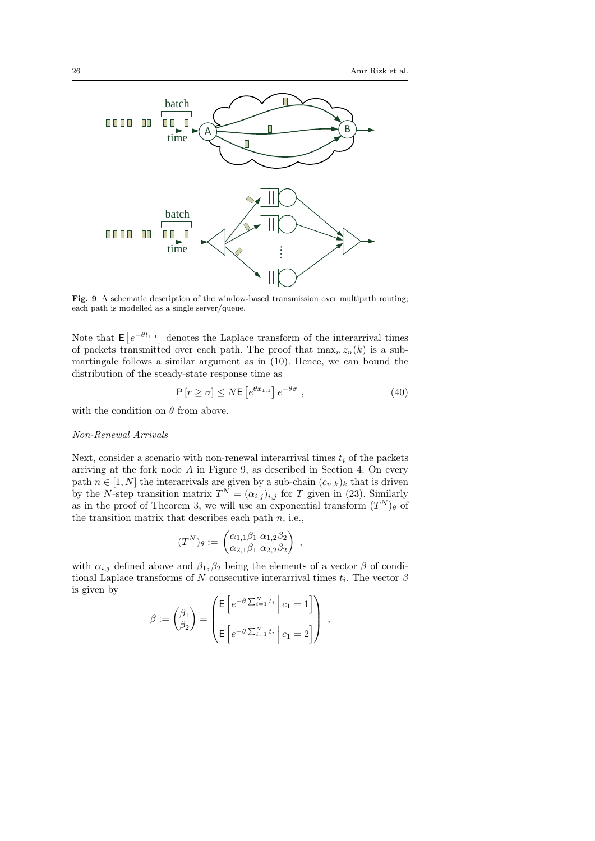

Fig. 9 A schematic description of the window-based transmission over multipath routing; each path is modelled as a single server/queue.

Note that  $E[e^{-\theta t_{1,1}}]$  denotes the Laplace transform of the interarrival times of packets transmitted over each path. The proof that  $\max_{n} z_n(k)$  is a submartingale follows a similar argument as in (10). Hence, we can bound the distribution of the steady-state response time as

$$
\mathsf{P}\left[r\geq\sigma\right]\leq N\mathsf{E}\left[e^{\theta x_{1,1}}\right]e^{-\theta\sigma}\,,\tag{40}
$$

,

with the condition on  $\theta$  from above.

# Non-Renewal Arrivals

Next, consider a scenario with non-renewal interarrival times  $t_i$  of the packets arriving at the fork node A in Figure 9, as described in Section 4. On every path  $n \in [1, N]$  the interarrivals are given by a sub-chain  $(c_{n,k})_k$  that is driven by the N-step transition matrix  $T^N = (\alpha_{i,j})_{i,j}$  for T given in (23). Similarly as in the proof of Theorem 3, we will use an exponential transform  $(T^N)_{\theta}$  of the transition matrix that describes each path  $n$ , i.e.,

$$
(T^N)_{\theta} := \begin{pmatrix} \alpha_{1,1}\beta_1 & \alpha_{1,2}\beta_2 \\ \alpha_{2,1}\beta_1 & \alpha_{2,2}\beta_2 \end{pmatrix}
$$

with  $\alpha_{i,j}$  defined above and  $\beta_1, \beta_2$  being the elements of a vector  $\beta$  of conditional Laplace transforms of N consecutive interarrival times  $t_i$ . The vector  $\beta$ is given by

$$
\beta := \begin{pmatrix} \beta_1 \\ \beta_2 \end{pmatrix} = \begin{pmatrix} \mathsf{E} \left[ e^{-\theta \sum_{i=1}^N t_i} \middle| c_1 = 1 \right] \\ \mathsf{E} \left[ e^{-\theta \sum_{i=1}^N t_i} \middle| c_1 = 2 \right] \end{pmatrix} ,
$$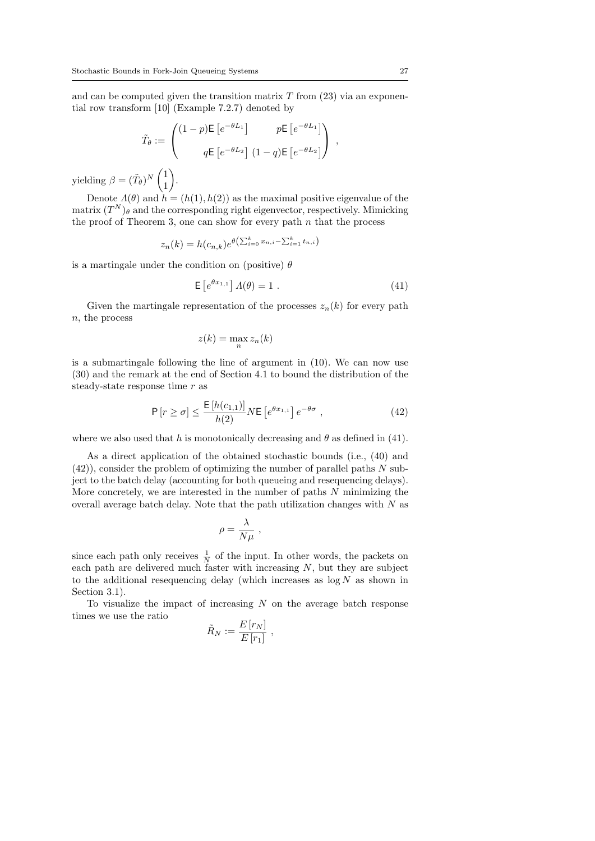and can be computed given the transition matrix  $T$  from  $(23)$  via an exponential row transform [10] (Example 7.2.7) denoted by

$$
\tilde{T}_{\theta} := \begin{pmatrix} (1-p)\mathsf{E}\left[e^{-\theta L_1}\right] & p\mathsf{E}\left[e^{-\theta L_1}\right] \\ q\mathsf{E}\left[e^{-\theta L_2}\right] & (1-q)\mathsf{E}\left[e^{-\theta L_2}\right] \end{pmatrix} \,,
$$

yielding  $\beta = (\tilde{T}_{\theta})^N \begin{pmatrix} 1 \\ 1 \end{pmatrix}$ 1 .

Denote  $\Lambda(\theta)$  and  $h = (h(1), h(2))$  as the maximal positive eigenvalue of the matrix  $(T^N)_{\theta}$  and the corresponding right eigenvector, respectively. Mimicking the proof of Theorem 3, one can show for every path  $n$  that the process

$$
z_n(k) = h(c_{n,k})e^{\theta(\sum_{i=0}^k x_{n,i} - \sum_{i=1}^k t_{n,i})}
$$

is a martingale under the condition on (positive)  $\theta$ 

$$
\mathsf{E}\left[e^{\theta x_{1,1}}\right]A(\theta) = 1\tag{41}
$$

Given the martingale representation of the processes  $z_n(k)$  for every path n, the process

$$
z(k) = \max_{n} z_n(k)
$$

is a submartingale following the line of argument in (10). We can now use (30) and the remark at the end of Section 4.1 to bound the distribution of the steady-state response time  $r$  as

$$
P[r \ge \sigma] \le \frac{\mathsf{E}\left[h(c_{1,1})\right]}{h(2)} N \mathsf{E}\left[e^{\theta x_{1,1}}\right] e^{-\theta \sigma} ,\qquad (42)
$$

where we also used that h is monotonically decreasing and  $\theta$  as defined in (41).

As a direct application of the obtained stochastic bounds (i.e., (40) and  $(42)$ , consider the problem of optimizing the number of parallel paths N subject to the batch delay (accounting for both queueing and resequencing delays). More concretely, we are interested in the number of paths  $N$  minimizing the overall average batch delay. Note that the path utilization changes with  $N$  as

$$
\rho = \frac{\lambda}{N\mu} \ ,
$$

since each path only receives  $\frac{1}{N}$  of the input. In other words, the packets on each path are delivered much faster with increasing  $N$ , but they are subject to the additional resequencing delay (which increases as  $log N$  as shown in Section 3.1).

To visualize the impact of increasing  $N$  on the average batch response times we use the ratio  $\overline{r}$ 

$$
\tilde{R}_N := \frac{E\left[r_N\right]}{E\left[r_1\right]} \;,
$$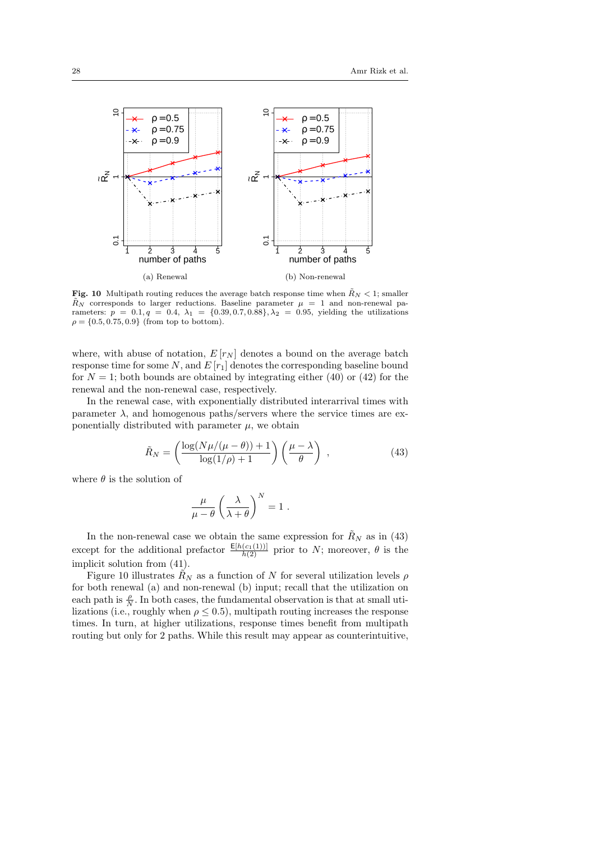

**Fig. 10** Multipath routing reduces the average batch response time when  $\tilde{R}_N < 1$ ; smaller  $\tilde{R}_N$  corresponds to larger reductions. Baseline parameter  $\mu = 1$  and non-renewal parameters:  $p = 0.1, q = 0.4, \lambda_1 = \{0.39, 0.7, 0.88\}, \lambda_2 = 0.95$ , yielding the utilizations  $\rho = \{0.5, 0.75, 0.9\}$  (from top to bottom).

where, with abuse of notation,  $E[r_N]$  denotes a bound on the average batch response time for some N, and  $E[r_1]$  denotes the corresponding baseline bound for  $N = 1$ ; both bounds are obtained by integrating either (40) or (42) for the renewal and the non-renewal case, respectively.

In the renewal case, with exponentially distributed interarrival times with parameter  $\lambda$ , and homogenous paths/servers where the service times are exponentially distributed with parameter  $\mu$ , we obtain

$$
\tilde{R}_N = \left(\frac{\log(N\mu/(\mu-\theta)) + 1}{\log(1/\rho) + 1}\right) \left(\frac{\mu-\lambda}{\theta}\right) ,\qquad(43)
$$

where  $\theta$  is the solution of

$$
\frac{\mu}{\mu - \theta} \left( \frac{\lambda}{\lambda + \theta} \right)^N = 1 .
$$

In the non-renewal case we obtain the same expression for  $\tilde{R}_N$  as in (43) except for the additional prefactor  $\frac{E[h(c_1(1))]}{h(2)}$  prior to N; moreover,  $\theta$  is the implicit solution from (41).

Figure 10 illustrates  $\tilde{R}_N$  as a function of N for several utilization levels  $\rho$ for both renewal (a) and non-renewal (b) input; recall that the utilization on each path is  $\frac{\rho}{N}$ . In both cases, the fundamental observation is that at small utilizations (i.e., roughly when  $\rho \leq 0.5$ ), multipath routing increases the response times. In turn, at higher utilizations, response times benefit from multipath routing but only for 2 paths. While this result may appear as counterintuitive,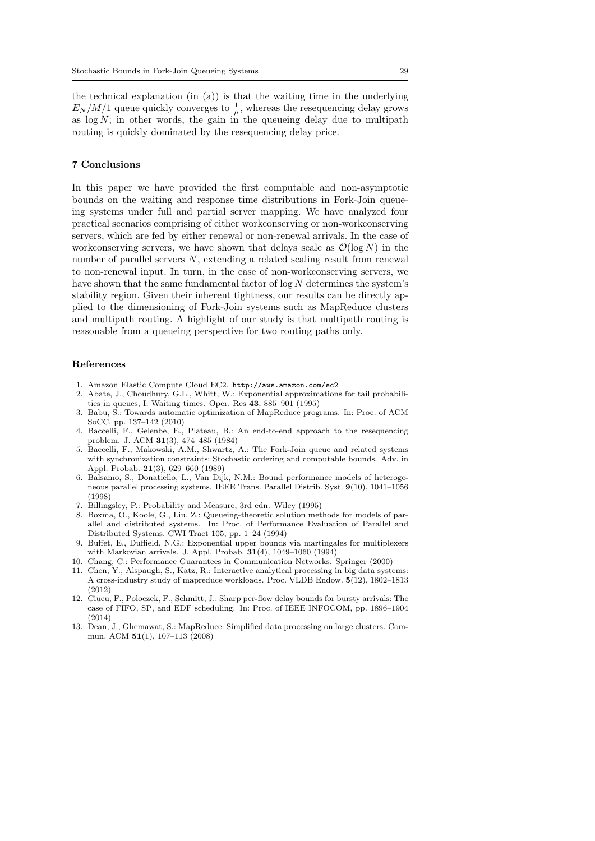the technical explanation  $(in (a))$  is that the waiting time in the underlying  $E_N/M/1$  queue quickly converges to  $\frac{1}{\mu}$ , whereas the resequencing delay grows as  $\log N$ ; in other words, the gain in the queueing delay due to multipath routing is quickly dominated by the resequencing delay price.

#### 7 Conclusions

In this paper we have provided the first computable and non-asymptotic bounds on the waiting and response time distributions in Fork-Join queueing systems under full and partial server mapping. We have analyzed four practical scenarios comprising of either workconserving or non-workconserving servers, which are fed by either renewal or non-renewal arrivals. In the case of workconserving servers, we have shown that delays scale as  $\mathcal{O}(\log N)$  in the number of parallel servers  $N$ , extending a related scaling result from renewal to non-renewal input. In turn, in the case of non-workconserving servers, we have shown that the same fundamental factor of  $\log N$  determines the system's stability region. Given their inherent tightness, our results can be directly applied to the dimensioning of Fork-Join systems such as MapReduce clusters and multipath routing. A highlight of our study is that multipath routing is reasonable from a queueing perspective for two routing paths only.

#### References

- 1. Amazon Elastic Compute Cloud EC2. http://aws.amazon.com/ec2
- 2. Abate, J., Choudhury, G.L., Whitt, W.: Exponential approximations for tail probabilities in queues, I: Waiting times. Oper. Res 43, 885–901 (1995)
- 3. Babu, S.: Towards automatic optimization of MapReduce programs. In: Proc. of ACM SoCC, pp. 137–142 (2010)
- 4. Baccelli, F., Gelenbe, E., Plateau, B.: An end-to-end approach to the resequencing problem. J. ACM 31(3), 474–485 (1984)
- 5. Baccelli, F., Makowski, A.M., Shwartz, A.: The Fork-Join queue and related systems with synchronization constraints: Stochastic ordering and computable bounds. Adv. in Appl. Probab. 21(3), 629–660 (1989)
- 6. Balsamo, S., Donatiello, L., Van Dijk, N.M.: Bound performance models of heterogeneous parallel processing systems. IEEE Trans. Parallel Distrib. Syst. 9(10), 1041–1056 (1998)
- 7. Billingsley, P.: Probability and Measure, 3rd edn. Wiley (1995)
- 8. Boxma, O., Koole, G., Liu, Z.: Queueing-theoretic solution methods for models of parallel and distributed systems. In: Proc. of Performance Evaluation of Parallel and Distributed Systems. CWI Tract 105, pp. 1–24 (1994)
- 9. Buffet, E., Duffield, N.G.: Exponential upper bounds via martingales for multiplexers with Markovian arrivals. J. Appl. Probab. 31(4), 1049–1060 (1994)
- 10. Chang, C.: Performance Guarantees in Communication Networks. Springer (2000)
- 11. Chen, Y., Alspaugh, S., Katz, R.: Interactive analytical processing in big data systems: A cross-industry study of mapreduce workloads. Proc. VLDB Endow. 5(12), 1802–1813 (2012)
- 12. Ciucu, F., Poloczek, F., Schmitt, J.: Sharp per-flow delay bounds for bursty arrivals: The case of FIFO, SP, and EDF scheduling. In: Proc. of IEEE INFOCOM, pp. 1896–1904 (2014)
- 13. Dean, J., Ghemawat, S.: MapReduce: Simplified data processing on large clusters. Commun. ACM 51(1), 107–113 (2008)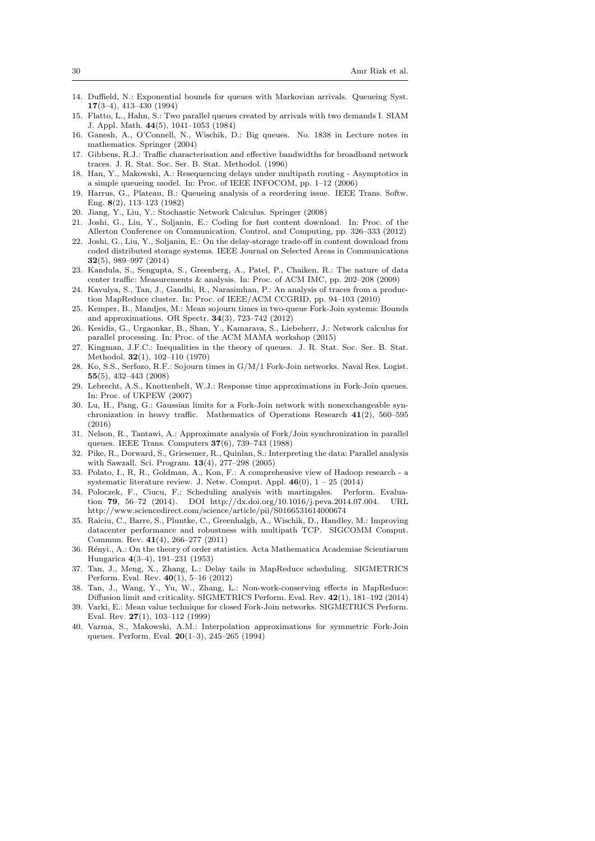- 14. Duffield, N.: Exponential bounds for queues with Markovian arrivals. Queueing Syst. 17(3–4), 413–430 (1994)
- 15. Flatto, L., Hahn, S.: Two parallel queues created by arrivals with two demands I. SIAM J. Appl. Math. 44(5), 1041–1053 (1984)
- 16. Ganesh, A., O'Connell, N., Wischik, D.: Big queues. No. 1838 in Lecture notes in mathematics. Springer (2004)
- 17. Gibbens, R.J.: Traffic characterisation and effective bandwidths for broadband network traces. J. R. Stat. Soc. Ser. B. Stat. Methodol. (1996)
- 18. Han, Y., Makowski, A.: Resequencing delays under multipath routing Asymptotics in a simple queueing model. In: Proc. of IEEE INFOCOM, pp. 1–12 (2006)
- 19. Harrus, G., Plateau, B.: Queueing analysis of a reordering issue. IEEE Trans. Softw. Eng. 8(2), 113–123 (1982)
- 20. Jiang, Y., Liu, Y.: Stochastic Network Calculus. Springer (2008)
- 21. Joshi, G., Liu, Y., Soljanin, E.: Coding for fast content download. In: Proc. of the Allerton Conference on Communication, Control, and Computing, pp. 326–333 (2012)
- 22. Joshi, G., Liu, Y., Soljanin, E.: On the delay-storage trade-off in content download from coded distributed storage systems. IEEE Journal on Selected Areas in Communications 32(5), 989–997 (2014)
- 23. Kandula, S., Sengupta, S., Greenberg, A., Patel, P., Chaiken, R.: The nature of data center traffic: Measurements & analysis. In: Proc. of ACM IMC, pp. 202–208 (2009)
- 24. Kavulya, S., Tan, J., Gandhi, R., Narasimhan, P.: An analysis of traces from a production MapReduce cluster. In: Proc. of IEEE/ACM CCGRID, pp. 94–103 (2010)
- 25. Kemper, B., Mandjes, M.: Mean sojourn times in two-queue Fork-Join systems: Bounds and approximations. OR Spectr. 34(3), 723–742 (2012)
- 26. Kesidis, G., Urgaonkar, B., Shan, Y., Kamarava, S., Liebeherr, J.: Network calculus for parallel processing. In: Proc. of the ACM MAMA workshop (2015)
- 27. Kingman, J.F.C.: Inequalities in the theory of queues. J. R. Stat. Soc. Ser. B. Stat. Methodol. 32(1), 102–110 (1970)
- 28. Ko, S.S., Serfozo, R.F.: Sojourn times in G/M/1 Fork-Join networks. Naval Res. Logist. 55(5), 432–443 (2008)
- Lebrecht, A.S., Knottenbelt, W.J.: Response time approximations in Fork-Join queues. In: Proc. of UKPEW (2007)
- 30. Lu, H., Pang, G.: Gaussian limits for a Fork-Join network with nonexchangeable synchronization in heavy traffic. Mathematics of Operations Research  $41(2)$ , 560–595 (2016)
- 31. Nelson, R., Tantawi, A.: Approximate analysis of Fork/Join synchronization in parallel queues. IEEE Trans. Computers 37(6), 739–743 (1988)
- 32. Pike, R., Dorward, S., Griesemer, R., Quinlan, S.: Interpreting the data: Parallel analysis with Sawzall. Sci. Program. 13(4), 277–298 (2005)
- 33. Polato, I., R, R., Goldman, A., Kon, F.: A comprehensive view of Hadoop research a systematic literature review. J. Netw. Comput. Appl.  $46(0)$ ,  $1 - 25$  (2014)
- 34. Poloczek, F., Ciucu, F.: Scheduling analysis with martingales. Perform. Evaluation 79, 56–72 (2014). DOI http://dx.doi.org/10.1016/j.peva.2014.07.004. URL http://www.sciencedirect.com/science/article/pii/S0166531614000674
- 35. Raiciu, C., Barre, S., Pluntke, C., Greenhalgh, A., Wischik, D., Handley, M.: Improving datacenter performance and robustness with multipath TCP. SIGCOMM Comput. Commun. Rev. 41(4), 266–277 (2011)
- 36. R´enyi., A.: On the theory of order statistics. Acta Mathematica Academiae Scientiarum Hungarica 4(3–4), 191–231 (1953)
- 37. Tan, J., Meng, X., Zhang, L.: Delay tails in MapReduce scheduling. SIGMETRICS Perform. Eval. Rev. 40(1), 5–16 (2012)
- Tan, J., Wang, Y., Yu, W., Zhang, L.: Non-work-conserving effects in MapReduce: Diffusion limit and criticality. SIGMETRICS Perform. Eval. Rev. 42(1), 181–192 (2014)
- 39. Varki, E.: Mean value technique for closed Fork-Join networks. SIGMETRICS Perform. Eval. Rev. 27(1), 103–112 (1999)
- 40. Varma, S., Makowski, A.M.: Interpolation approximations for symmetric Fork-Join queues. Perform. Eval. 20(1–3), 245–265 (1994)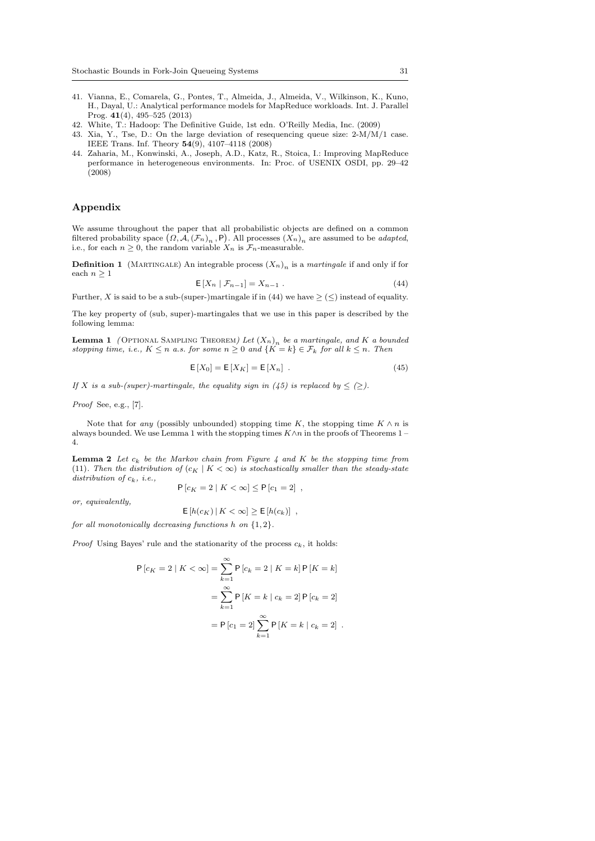- 41. Vianna, E., Comarela, G., Pontes, T., Almeida, J., Almeida, V., Wilkinson, K., Kuno, H., Dayal, U.: Analytical performance models for MapReduce workloads. Int. J. Parallel Prog. 41(4), 495–525 (2013)
- 42. White, T.: Hadoop: The Definitive Guide, 1st edn. O'Reilly Media, Inc. (2009)
- 43. Xia, Y., Tse, D.: On the large deviation of resequencing queue size: 2-M/M/1 case. IEEE Trans. Inf. Theory 54(9), 4107–4118 (2008)
- 44. Zaharia, M., Konwinski, A., Joseph, A.D., Katz, R., Stoica, I.: Improving MapReduce performance in heterogeneous environments. In: Proc. of USENIX OSDI, pp. 29–42 (2008)

#### Appendix

We assume throughout the paper that all probabilistic objects are defined on a common filtered probability space  $(\Omega, \mathcal{A}, (\mathcal{F}_n)_{n}, P)$ . All processes  $(X_n)_{n}$  are assumed to be *adapted*, i.e., for each  $n \geq 0$ , the random variable  $X_n$  is  $\mathcal{F}_n$ -measurable.

**Definition 1** (MARTINGALE) An integrable process  $(X_n)_n$  is a martingale if and only if for each  $n \geq 1$ 

$$
\mathsf{E}\left[X_n \mid \mathcal{F}_{n-1}\right] = X_{n-1} \tag{44}
$$

Further, X is said to be a sub-(super-)martingale if in (44) we have  $\geq$  ( $\leq$ ) instead of equality.

The key property of (sub, super)-martingales that we use in this paper is described by the following lemma:

**Lemma 1** (OPTIONAL SAMPLING THEOREM) Let  $(X_n)_n$  be a martingale, and K a bounded stopping time, i.e.,  $K \leq n$  a.s. for some  $n \geq 0$  and  $\{K = k\} \in \mathcal{F}_k$  for all  $k \leq n$ . Then

$$
\mathsf{E}\left[X_0\right] = \mathsf{E}\left[X_K\right] = \mathsf{E}\left[X_n\right] \tag{45}
$$

If X is a sub-(super)-martingale, the equality sign in (45) is replaced by  $\leq$  ( $\geq$ ).

Proof See, e.g., [7].

Note that for any (possibly unbounded) stopping time K, the stopping time  $K \wedge n$  is always bounded. We use Lemma 1 with the stopping times  $K \wedge n$  in the proofs of Theorems 1 – 4.

**Lemma 2** Let  $c_k$  be the Markov chain from Figure 4 and K be the stopping time from (11). Then the distribution of  $(c_K | K < \infty)$  is stochastically smaller than the steady-state distribution of  $c_k$ , i.e.,

$$
P[c_K = 2 | K < \infty] \le P[c_1 = 2],
$$

or, equivalently,

$$
\mathsf{E}\left[h(c_K)\,|\,K<\infty\right]\geq \mathsf{E}\left[h(c_k)\right]\;,
$$

for all monotonically decreasing functions h on  $\{1, 2\}$ .

*Proof* Using Bayes' rule and the stationarity of the process  $c_k$ , it holds:

$$
P[c_K = 2 | K < \infty] = \sum_{k=1}^{\infty} P[c_k = 2 | K = k] P[K = k]
$$

$$
= \sum_{k=1}^{\infty} P[K = k | c_k = 2] P[c_k = 2]
$$

$$
= P[c_1 = 2] \sum_{k=1}^{\infty} P[K = k | c_k = 2]
$$